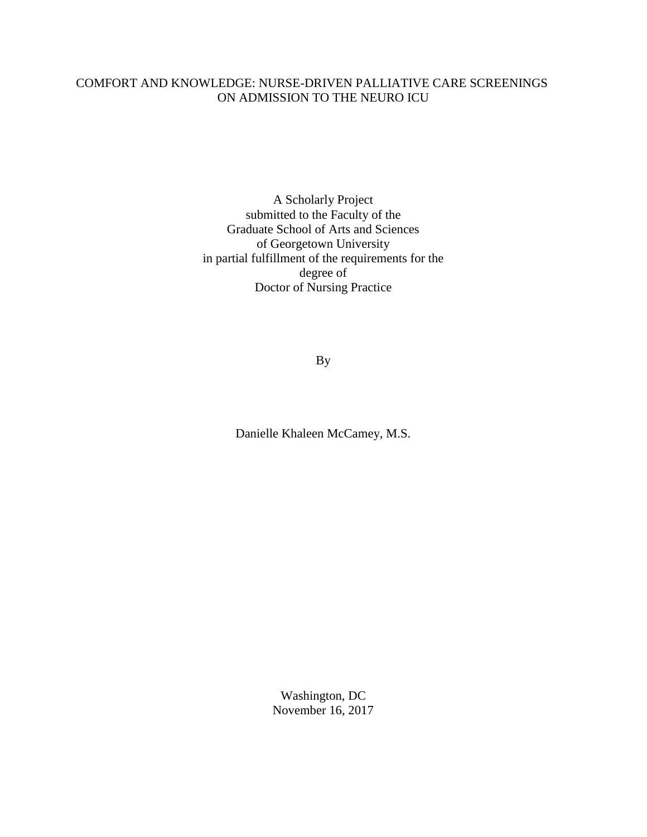# COMFORT AND KNOWLEDGE: NURSE-DRIVEN PALLIATIVE CARE SCREENINGS ON ADMISSION TO THE NEURO ICU

A Scholarly Project submitted to the Faculty of the Graduate School of Arts and Sciences of Georgetown University in partial fulfillment of the requirements for the degree of Doctor of Nursing Practice

By

Danielle Khaleen McCamey, M.S.

Washington, DC November 16, 2017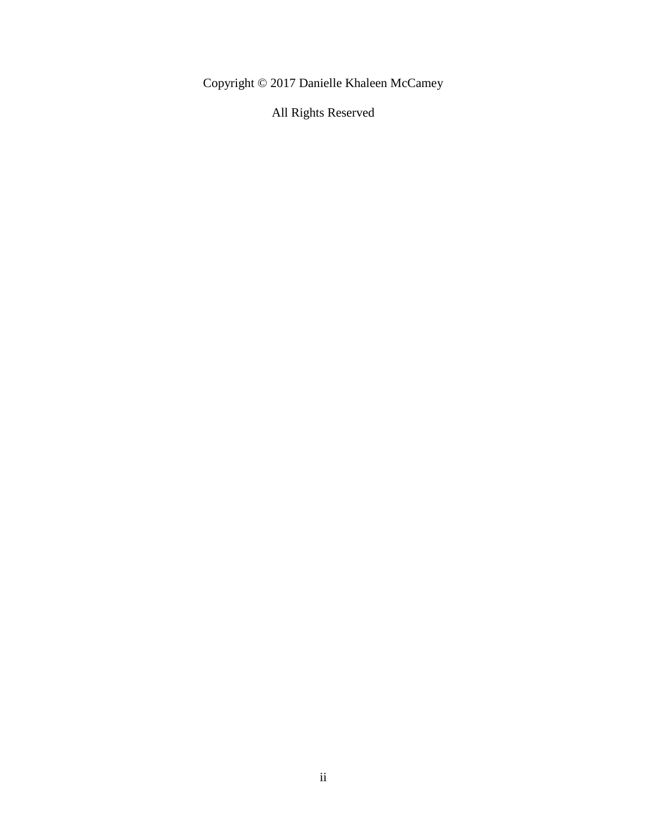Copyright © 2017 Danielle Khaleen McCamey

All Rights Reserved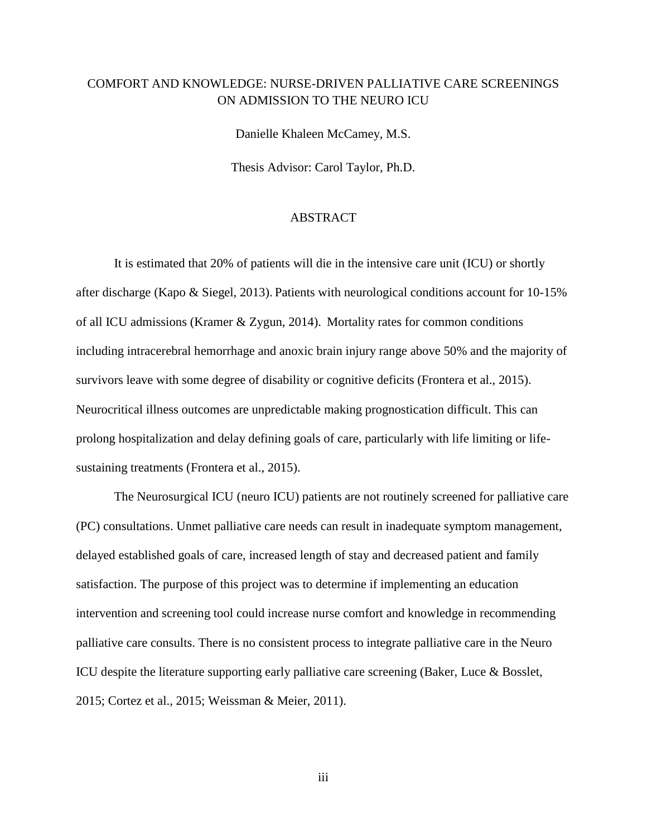# COMFORT AND KNOWLEDGE: NURSE-DRIVEN PALLIATIVE CARE SCREENINGS ON ADMISSION TO THE NEURO ICU

Danielle Khaleen McCamey, M.S.

Thesis Advisor: Carol Taylor, Ph.D.

# ABSTRACT

It is estimated that 20% of patients will die in the intensive care unit (ICU) or shortly after discharge (Kapo & Siegel, 2013). Patients with neurological conditions account for 10-15% of all ICU admissions (Kramer & Zygun, 2014). Mortality rates for common conditions including intracerebral hemorrhage and anoxic brain injury range above 50% and the majority of survivors leave with some degree of disability or cognitive deficits (Frontera et al., 2015). Neurocritical illness outcomes are unpredictable making prognostication difficult. This can prolong hospitalization and delay defining goals of care, particularly with life limiting or lifesustaining treatments (Frontera et al., 2015).

The Neurosurgical ICU (neuro ICU) patients are not routinely screened for palliative care (PC) consultations. Unmet palliative care needs can result in inadequate symptom management, delayed established goals of care, increased length of stay and decreased patient and family satisfaction. The purpose of this project was to determine if implementing an education intervention and screening tool could increase nurse comfort and knowledge in recommending palliative care consults. There is no consistent process to integrate palliative care in the Neuro ICU despite the literature supporting early palliative care screening (Baker, Luce & Bosslet, 2015; Cortez et al., 2015; Weissman & Meier, 2011).

iii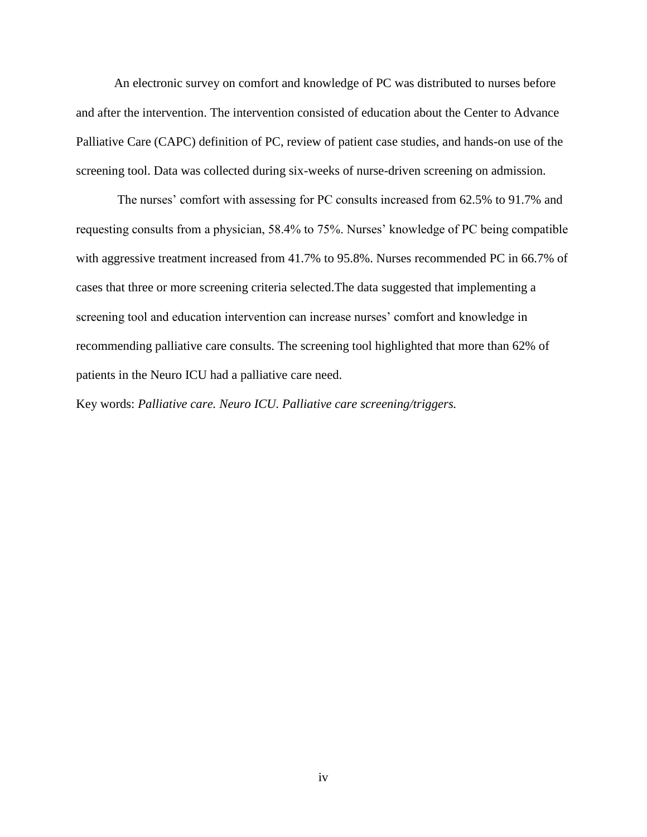An electronic survey on comfort and knowledge of PC was distributed to nurses before and after the intervention. The intervention consisted of education about the Center to Advance Palliative Care (CAPC) definition of PC, review of patient case studies, and hands-on use of the screening tool. Data was collected during six-weeks of nurse-driven screening on admission.

The nurses' comfort with assessing for PC consults increased from 62.5% to 91.7% and requesting consults from a physician, 58.4% to 75%. Nurses' knowledge of PC being compatible with aggressive treatment increased from 41.7% to 95.8%. Nurses recommended PC in 66.7% of cases that three or more screening criteria selected.The data suggested that implementing a screening tool and education intervention can increase nurses' comfort and knowledge in recommending palliative care consults. The screening tool highlighted that more than 62% of patients in the Neuro ICU had a palliative care need.

Key words: *Palliative care. Neuro ICU. Palliative care screening/triggers.*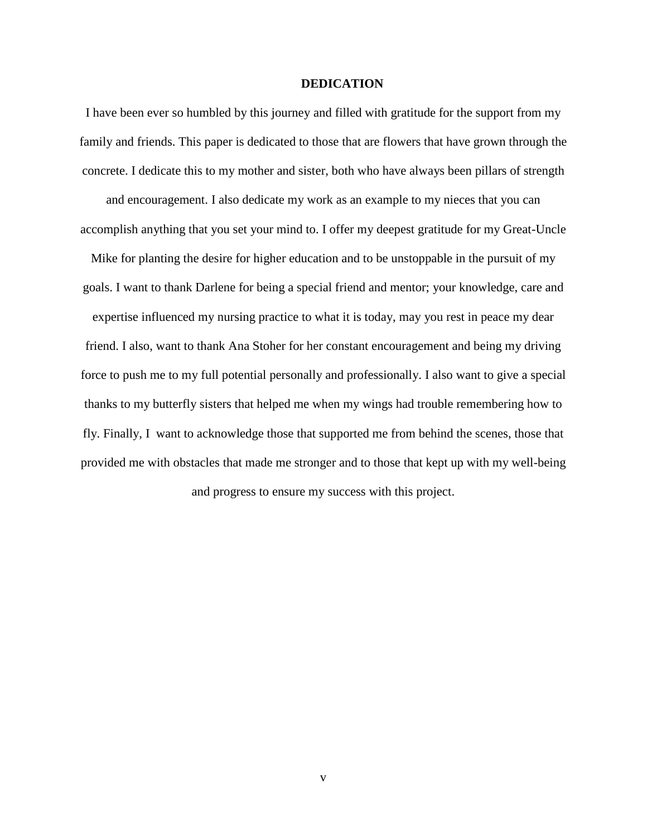### **DEDICATION**

I have been ever so humbled by this journey and filled with gratitude for the support from my family and friends. This paper is dedicated to those that are flowers that have grown through the concrete. I dedicate this to my mother and sister, both who have always been pillars of strength and encouragement. I also dedicate my work as an example to my nieces that you can accomplish anything that you set your mind to. I offer my deepest gratitude for my Great-Uncle Mike for planting the desire for higher education and to be unstoppable in the pursuit of my goals. I want to thank Darlene for being a special friend and mentor; your knowledge, care and expertise influenced my nursing practice to what it is today, may you rest in peace my dear friend. I also, want to thank Ana Stoher for her constant encouragement and being my driving force to push me to my full potential personally and professionally. I also want to give a special thanks to my butterfly sisters that helped me when my wings had trouble remembering how to fly. Finally, I want to acknowledge those that supported me from behind the scenes, those that provided me with obstacles that made me stronger and to those that kept up with my well-being and progress to ensure my success with this project.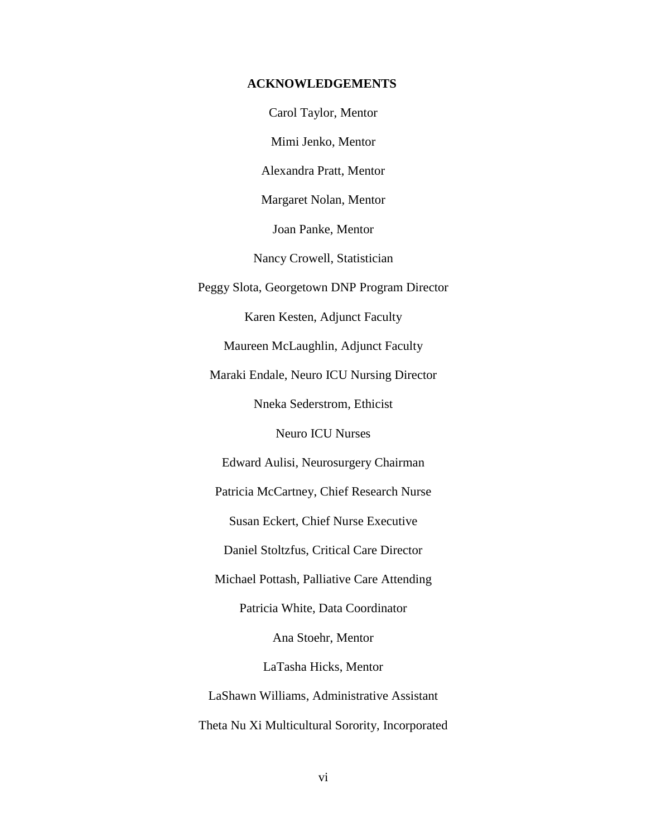## **ACKNOWLEDGEMENTS**

Carol Taylor, Mentor

Mimi Jenko, Mentor

Alexandra Pratt, Mentor

Margaret Nolan, Mentor

Joan Panke, Mentor

Nancy Crowell, Statistician

Peggy Slota, Georgetown DNP Program Director

Karen Kesten, Adjunct Faculty

Maureen McLaughlin, Adjunct Faculty

Maraki Endale, Neuro ICU Nursing Director

Nneka Sederstrom, Ethicist

Neuro ICU Nurses

Edward Aulisi, Neurosurgery Chairman

Patricia McCartney, Chief Research Nurse

Susan Eckert, Chief Nurse Executive

Daniel Stoltzfus, Critical Care Director

Michael Pottash, Palliative Care Attending

Patricia White, Data Coordinator

Ana Stoehr, Mentor

LaTasha Hicks, Mentor

LaShawn Williams, Administrative Assistant Theta Nu Xi Multicultural Sorority, Incorporated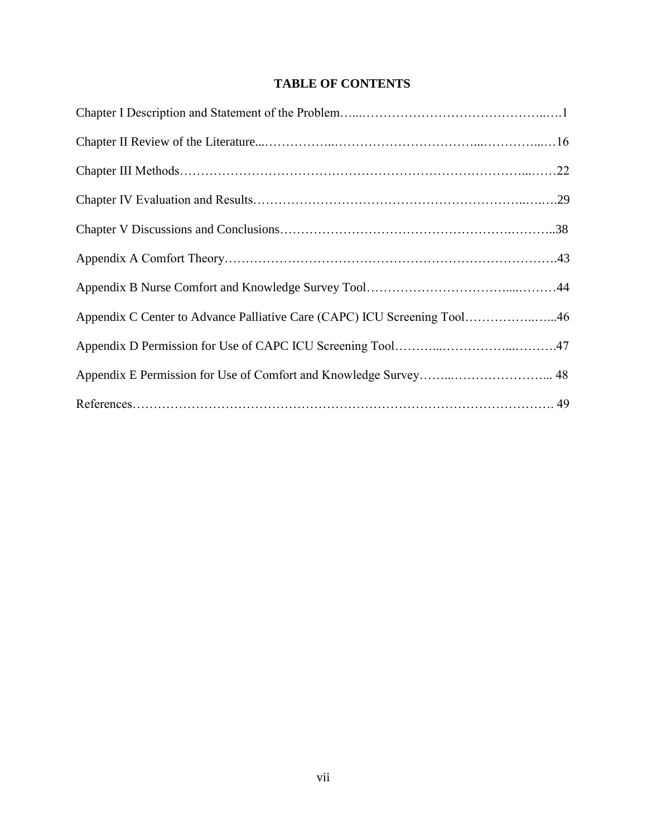# **TABLE OF CONTENTS**

| Appendix C Center to Advance Palliative Care (CAPC) ICU Screening Tool46 |  |
|--------------------------------------------------------------------------|--|
|                                                                          |  |
|                                                                          |  |
|                                                                          |  |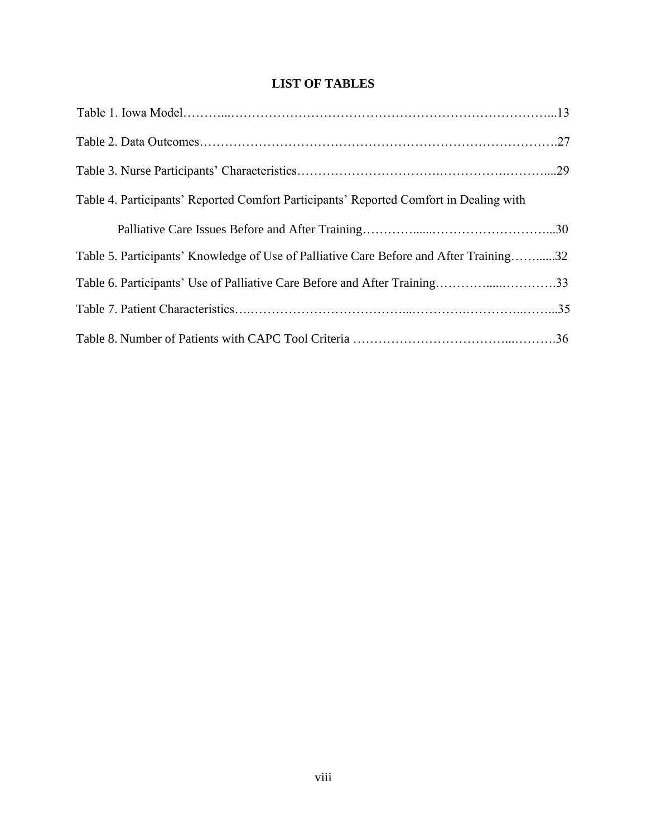# **LIST OF TABLES**

| Table 4. Participants' Reported Comfort Participants' Reported Comfort in Dealing with |  |
|----------------------------------------------------------------------------------------|--|
|                                                                                        |  |
| Table 5. Participants' Knowledge of Use of Palliative Care Before and After Training32 |  |
|                                                                                        |  |
|                                                                                        |  |
|                                                                                        |  |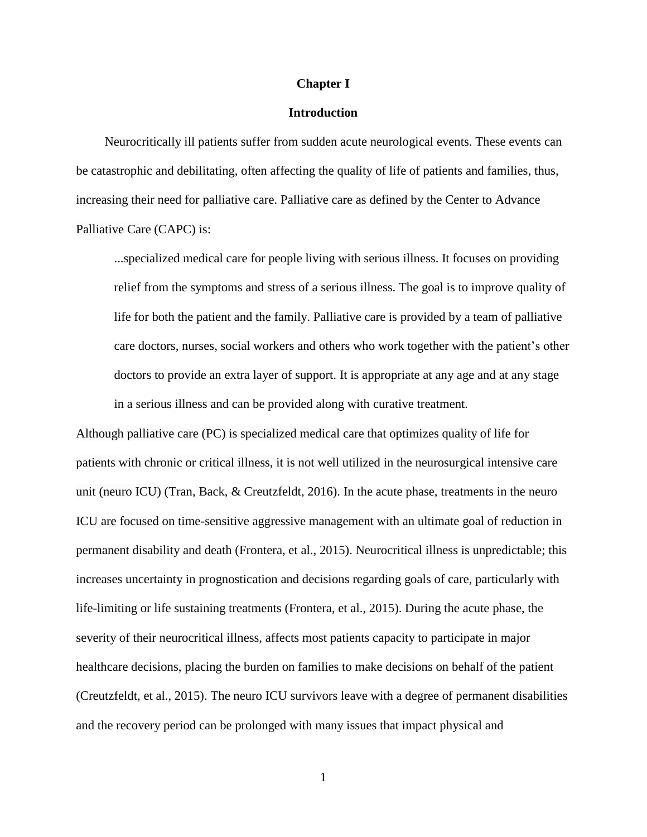## **Chapter I**

## **Introduction**

Neurocritically ill patients suffer from sudden acute neurological events. These events can be catastrophic and debilitating, often affecting the quality of life of patients and families, thus, increasing their need for palliative care. Palliative care as defined by the Center to Advance Palliative Care (CAPC) is:

...specialized medical care for people living with serious illness. It focuses on providing relief from the symptoms and stress of a serious illness. The goal is to improve quality of life for both the patient and the family. Palliative care is provided by a team of palliative care doctors, nurses, social workers and others who work together with the patient's other doctors to provide an extra layer of support. It is appropriate at any age and at any stage in a serious illness and can be provided along with curative treatment.

Although palliative care (PC) is specialized medical care that optimizes quality of life for patients with chronic or critical illness, it is not well utilized in the neurosurgical intensive care unit (neuro ICU) (Tran, Back, & Creutzfeldt, 2016). In the acute phase, treatments in the neuro ICU are focused on time-sensitive aggressive management with an ultimate goal of reduction in permanent disability and death (Frontera, et al., 2015). Neurocritical illness is unpredictable; this increases uncertainty in prognostication and decisions regarding goals of care, particularly with life-limiting or life sustaining treatments (Frontera, et al., 2015). During the acute phase, the severity of their neurocritical illness, affects most patients capacity to participate in major healthcare decisions, placing the burden on families to make decisions on behalf of the patient (Creutzfeldt, et al., 2015). The neuro ICU survivors leave with a degree of permanent disabilities and the recovery period can be prolonged with many issues that impact physical and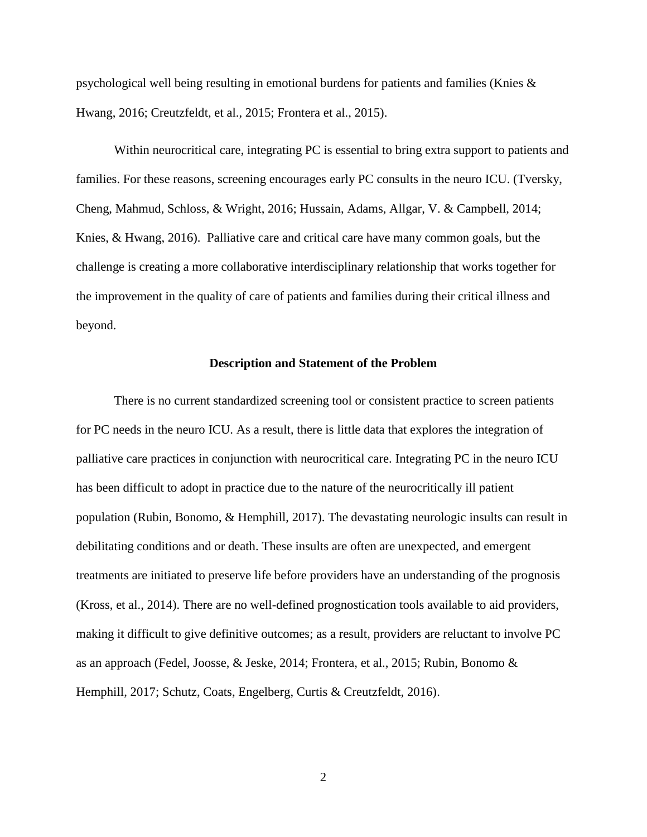psychological well being resulting in emotional burdens for patients and families (Knies & Hwang, 2016; Creutzfeldt, et al., 2015; Frontera et al., 2015).

Within neurocritical care, integrating PC is essential to bring extra support to patients and families. For these reasons, screening encourages early PC consults in the neuro ICU. (Tversky, Cheng, Mahmud, Schloss, & Wright, 2016; Hussain, Adams, Allgar, V. & Campbell, 2014; Knies, & Hwang, 2016). Palliative care and critical care have many common goals, but the challenge is creating a more collaborative interdisciplinary relationship that works together for the improvement in the quality of care of patients and families during their critical illness and beyond.

## **Description and Statement of the Problem**

There is no current standardized screening tool or consistent practice to screen patients for PC needs in the neuro ICU. As a result, there is little data that explores the integration of palliative care practices in conjunction with neurocritical care. Integrating PC in the neuro ICU has been difficult to adopt in practice due to the nature of the neurocritically ill patient population (Rubin, Bonomo, & Hemphill, 2017). The devastating neurologic insults can result in debilitating conditions and or death. These insults are often are unexpected, and emergent treatments are initiated to preserve life before providers have an understanding of the prognosis (Kross, et al., 2014). There are no well-defined prognostication tools available to aid providers, making it difficult to give definitive outcomes; as a result, providers are reluctant to involve PC as an approach (Fedel, Joosse, & Jeske, 2014; Frontera, et al., 2015; Rubin, Bonomo & Hemphill, 2017; Schutz, Coats, Engelberg, Curtis & Creutzfeldt, 2016).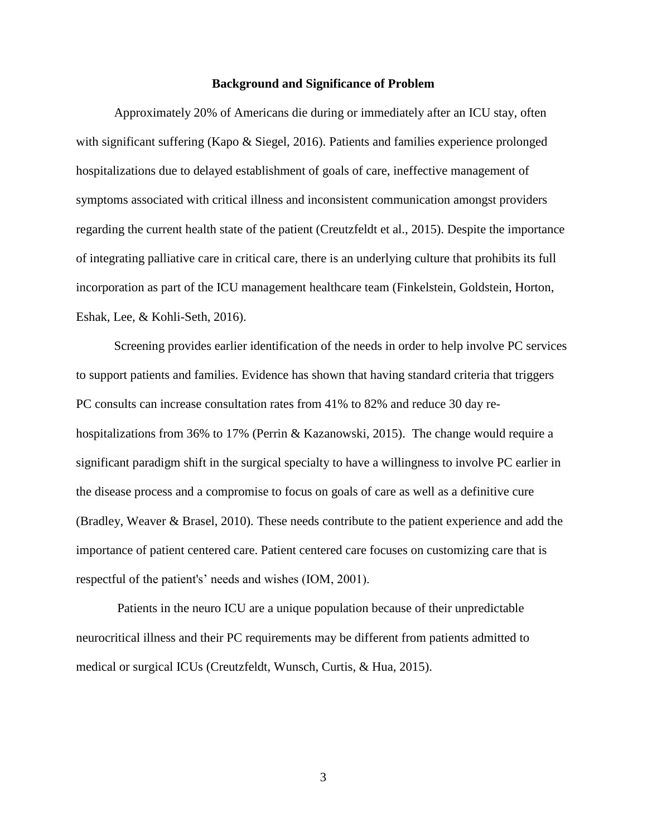## **Background and Significance of Problem**

Approximately 20% of Americans die during or immediately after an ICU stay, often with significant suffering (Kapo & Siegel, 2016). Patients and families experience prolonged hospitalizations due to delayed establishment of goals of care, ineffective management of symptoms associated with critical illness and inconsistent communication amongst providers regarding the current health state of the patient (Creutzfeldt et al., 2015). Despite the importance of integrating palliative care in critical care, there is an underlying culture that prohibits its full incorporation as part of the ICU management healthcare team (Finkelstein, Goldstein, Horton, Eshak, Lee, & Kohli-Seth, 2016).

Screening provides earlier identification of the needs in order to help involve PC services to support patients and families. Evidence has shown that having standard criteria that triggers PC consults can increase consultation rates from 41% to 82% and reduce 30 day rehospitalizations from 36% to 17% (Perrin & Kazanowski, 2015). The change would require a significant paradigm shift in the surgical specialty to have a willingness to involve PC earlier in the disease process and a compromise to focus on goals of care as well as a definitive cure (Bradley, Weaver & Brasel, 2010). These needs contribute to the patient experience and add the importance of patient centered care. Patient centered care focuses on customizing care that is respectful of the patient's' needs and wishes (IOM, 2001).

Patients in the neuro ICU are a unique population because of their unpredictable neurocritical illness and their PC requirements may be different from patients admitted to medical or surgical ICUs (Creutzfeldt, Wunsch, Curtis, & Hua, 2015).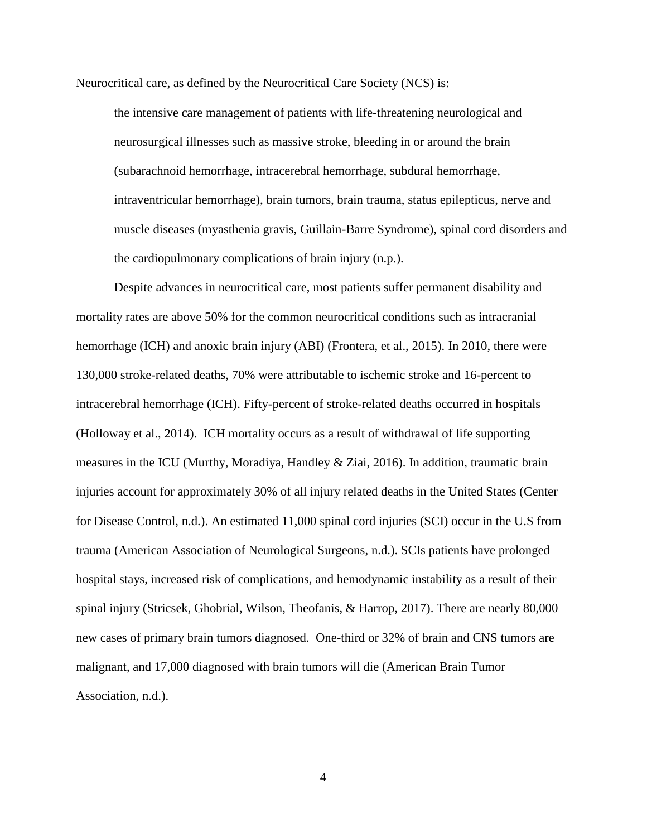Neurocritical care, as defined by the Neurocritical Care Society (NCS) is:

the intensive care management of patients with life-threatening neurological and neurosurgical illnesses such as massive stroke, bleeding in or around the brain (subarachnoid hemorrhage, intracerebral hemorrhage, subdural hemorrhage, intraventricular hemorrhage), brain tumors, brain trauma, status epilepticus, nerve and muscle diseases (myasthenia gravis, Guillain-Barre Syndrome), spinal cord disorders and the cardiopulmonary complications of brain injury (n.p.).

Despite advances in neurocritical care, most patients suffer permanent disability and mortality rates are above 50% for the common neurocritical conditions such as intracranial hemorrhage (ICH) and anoxic brain injury (ABI) (Frontera, et al., 2015). In 2010, there were 130,000 stroke-related deaths, 70% were attributable to ischemic stroke and 16-percent to intracerebral hemorrhage (ICH). Fifty-percent of stroke-related deaths occurred in hospitals (Holloway et al., 2014). ICH mortality occurs as a result of withdrawal of life supporting measures in the ICU (Murthy, Moradiya, Handley & Ziai, 2016). In addition, traumatic brain injuries account for approximately 30% of all injury related deaths in the United States (Center for Disease Control, n.d.). An estimated 11,000 spinal cord injuries (SCI) occur in the U.S from trauma (American Association of Neurological Surgeons, n.d.). SCIs patients have prolonged hospital stays, increased risk of complications, and hemodynamic instability as a result of their spinal injury (Stricsek, Ghobrial, Wilson, Theofanis, & Harrop, 2017). There are nearly 80,000 new cases of primary brain tumors diagnosed. One-third or 32% of brain and CNS tumors are malignant, and 17,000 diagnosed with brain tumors will die (American Brain Tumor Association, n.d.).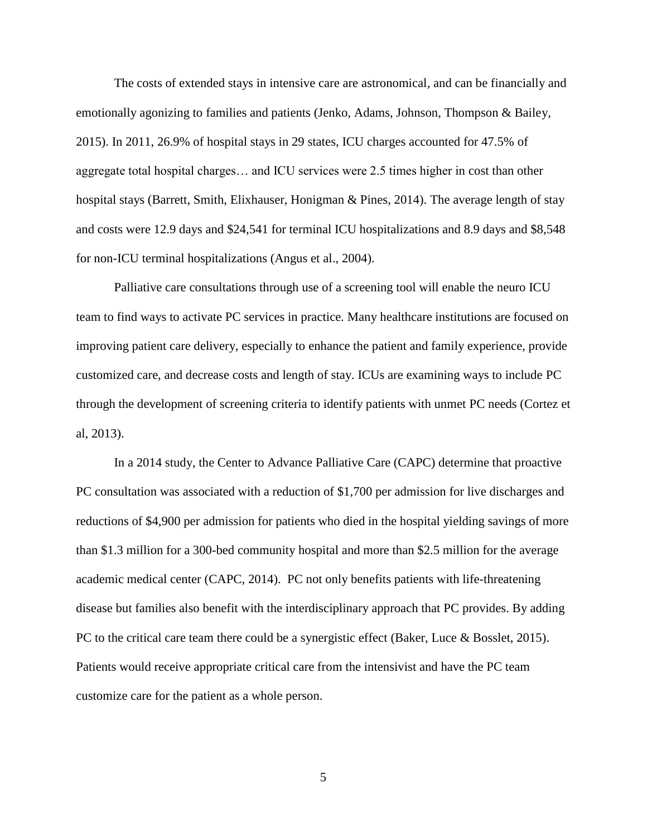The costs of extended stays in intensive care are astronomical, and can be financially and emotionally agonizing to families and patients (Jenko, Adams, Johnson, Thompson & Bailey, 2015). In 2011, 26.9% of hospital stays in 29 states, ICU charges accounted for 47.5% of aggregate total hospital charges… and ICU services were 2.5 times higher in cost than other hospital stays (Barrett, Smith, Elixhauser, Honigman & Pines, 2014). The average length of stay and costs were 12.9 days and \$24,541 for terminal ICU hospitalizations and 8.9 days and \$8,548 for non-ICU terminal hospitalizations (Angus et al., 2004).

Palliative care consultations through use of a screening tool will enable the neuro ICU team to find ways to activate PC services in practice. Many healthcare institutions are focused on improving patient care delivery, especially to enhance the patient and family experience, provide customized care, and decrease costs and length of stay. ICUs are examining ways to include PC through the development of screening criteria to identify patients with unmet PC needs (Cortez et al, 2013).

In a 2014 study, the Center to Advance Palliative Care (CAPC) determine that proactive PC consultation was associated with a reduction of \$1,700 per admission for live discharges and reductions of \$4,900 per admission for patients who died in the hospital yielding savings of more than \$1.3 million for a 300-bed community hospital and more than \$2.5 million for the average academic medical center (CAPC, 2014). PC not only benefits patients with life-threatening disease but families also benefit with the interdisciplinary approach that PC provides. By adding PC to the critical care team there could be a synergistic effect (Baker, Luce & Bosslet, 2015). Patients would receive appropriate critical care from the intensivist and have the PC team customize care for the patient as a whole person.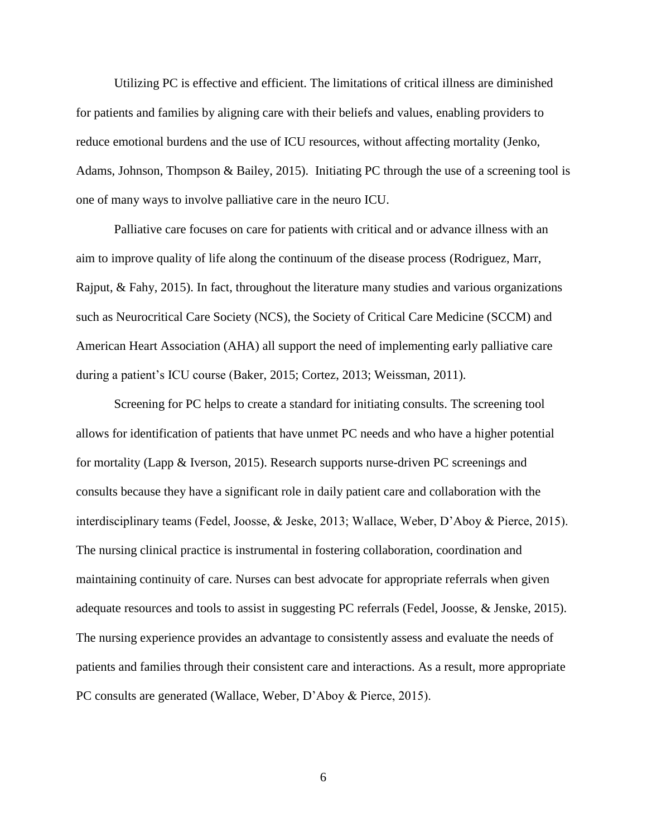Utilizing PC is effective and efficient. The limitations of critical illness are diminished for patients and families by aligning care with their beliefs and values, enabling providers to reduce emotional burdens and the use of ICU resources, without affecting mortality (Jenko, Adams, Johnson, Thompson & Bailey, 2015). Initiating PC through the use of a screening tool is one of many ways to involve palliative care in the neuro ICU.

Palliative care focuses on care for patients with critical and or advance illness with an aim to improve quality of life along the continuum of the disease process (Rodriguez, Marr, Rajput,  $\&$  Fahy, 2015). In fact, throughout the literature many studies and various organizations such as Neurocritical Care Society (NCS), the Society of Critical Care Medicine (SCCM) and American Heart Association (AHA) all support the need of implementing early palliative care during a patient's ICU course (Baker, 2015; Cortez, 2013; Weissman, 2011).

Screening for PC helps to create a standard for initiating consults. The screening tool allows for identification of patients that have unmet PC needs and who have a higher potential for mortality (Lapp & Iverson, 2015). Research supports nurse-driven PC screenings and consults because they have a significant role in daily patient care and collaboration with the interdisciplinary teams (Fedel, Joosse, & Jeske, 2013; Wallace, Weber, D'Aboy & Pierce, 2015). The nursing clinical practice is instrumental in fostering collaboration, coordination and maintaining continuity of care. Nurses can best advocate for appropriate referrals when given adequate resources and tools to assist in suggesting PC referrals (Fedel, Joosse, & Jenske, 2015). The nursing experience provides an advantage to consistently assess and evaluate the needs of patients and families through their consistent care and interactions. As a result, more appropriate PC consults are generated (Wallace, Weber, D'Aboy & Pierce, 2015).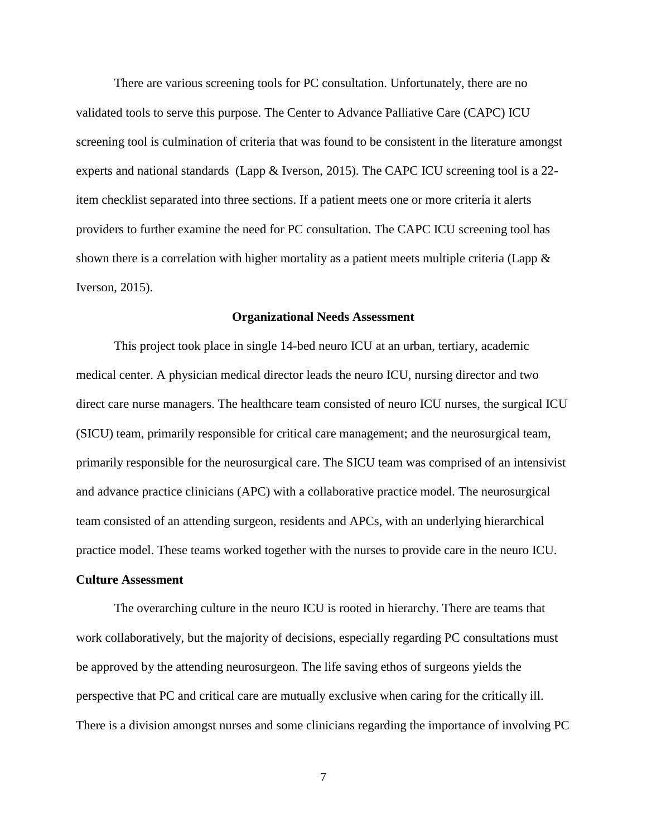There are various screening tools for PC consultation. Unfortunately, there are no validated tools to serve this purpose. The Center to Advance Palliative Care (CAPC) ICU screening tool is culmination of criteria that was found to be consistent in the literature amongst experts and national standards (Lapp & Iverson, 2015). The CAPC ICU screening tool is a 22 item checklist separated into three sections. If a patient meets one or more criteria it alerts providers to further examine the need for PC consultation. The CAPC ICU screening tool has shown there is a correlation with higher mortality as a patient meets multiple criteria (Lapp & Iverson, 2015).

### **Organizational Needs Assessment**

This project took place in single 14-bed neuro ICU at an urban, tertiary, academic medical center. A physician medical director leads the neuro ICU, nursing director and two direct care nurse managers. The healthcare team consisted of neuro ICU nurses, the surgical ICU (SICU) team, primarily responsible for critical care management; and the neurosurgical team, primarily responsible for the neurosurgical care. The SICU team was comprised of an intensivist and advance practice clinicians (APC) with a collaborative practice model. The neurosurgical team consisted of an attending surgeon, residents and APCs, with an underlying hierarchical practice model. These teams worked together with the nurses to provide care in the neuro ICU.

# **Culture Assessment**

The overarching culture in the neuro ICU is rooted in hierarchy. There are teams that work collaboratively, but the majority of decisions, especially regarding PC consultations must be approved by the attending neurosurgeon. The life saving ethos of surgeons yields the perspective that PC and critical care are mutually exclusive when caring for the critically ill. There is a division amongst nurses and some clinicians regarding the importance of involving PC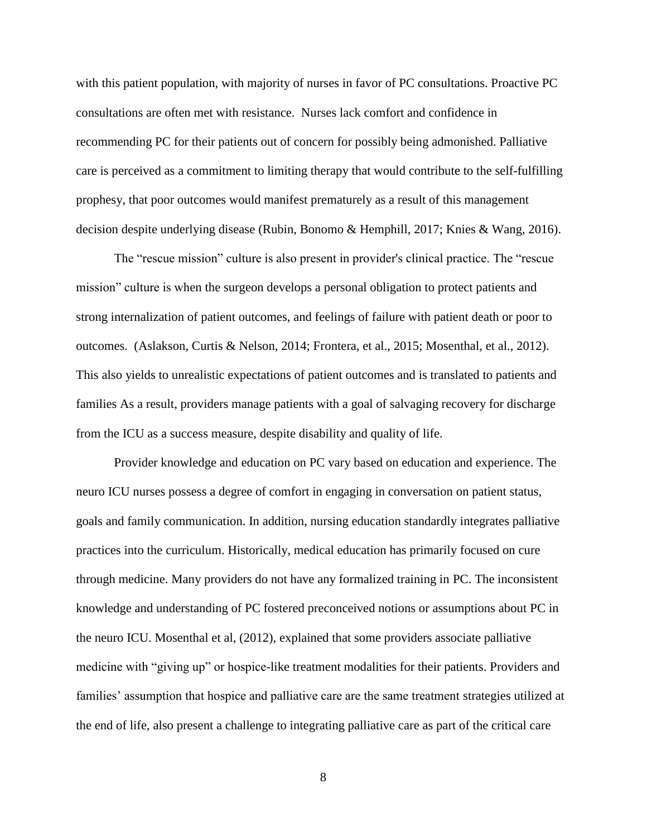with this patient population, with majority of nurses in favor of PC consultations. Proactive PC consultations are often met with resistance. Nurses lack comfort and confidence in recommending PC for their patients out of concern for possibly being admonished. Palliative care is perceived as a commitment to limiting therapy that would contribute to the self-fulfilling prophesy, that poor outcomes would manifest prematurely as a result of this management decision despite underlying disease (Rubin, Bonomo & Hemphill, 2017; Knies & Wang, 2016).

The "rescue mission" culture is also present in provider's clinical practice. The "rescue mission" culture is when the surgeon develops a personal obligation to protect patients and strong internalization of patient outcomes, and feelings of failure with patient death or poor to outcomes. (Aslakson, Curtis & Nelson, 2014; Frontera, et al., 2015; Mosenthal, et al., 2012). This also yields to unrealistic expectations of patient outcomes and is translated to patients and families As a result, providers manage patients with a goal of salvaging recovery for discharge from the ICU as a success measure, despite disability and quality of life.

Provider knowledge and education on PC vary based on education and experience. The neuro ICU nurses possess a degree of comfort in engaging in conversation on patient status, goals and family communication. In addition, nursing education standardly integrates palliative practices into the curriculum. Historically, medical education has primarily focused on cure through medicine. Many providers do not have any formalized training in PC. The inconsistent knowledge and understanding of PC fostered preconceived notions or assumptions about PC in the neuro ICU. Mosenthal et al, (2012), explained that some providers associate palliative medicine with "giving up" or hospice-like treatment modalities for their patients. Providers and families' assumption that hospice and palliative care are the same treatment strategies utilized at the end of life, also present a challenge to integrating palliative care as part of the critical care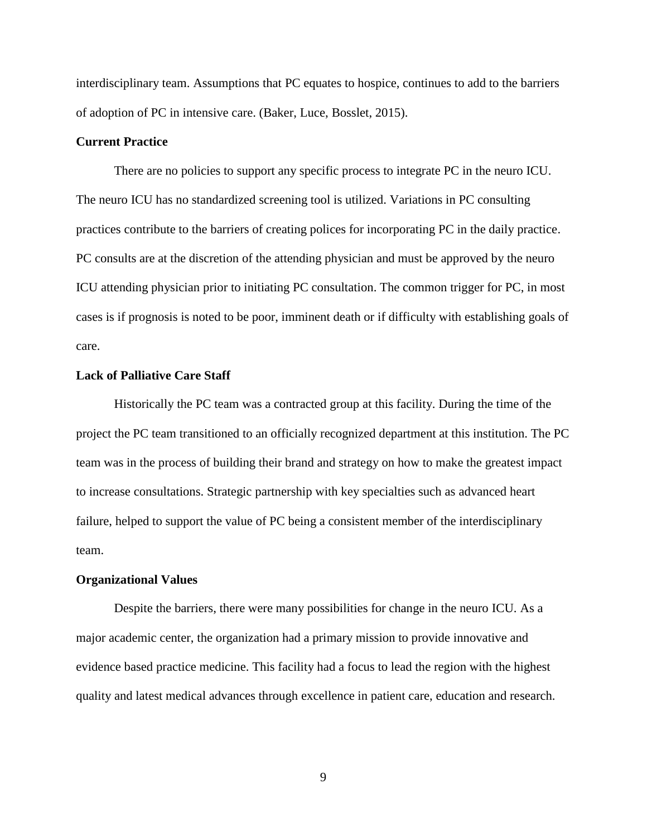interdisciplinary team. Assumptions that PC equates to hospice, continues to add to the barriers of adoption of PC in intensive care. (Baker, Luce, Bosslet, 2015).

# **Current Practice**

There are no policies to support any specific process to integrate PC in the neuro ICU. The neuro ICU has no standardized screening tool is utilized. Variations in PC consulting practices contribute to the barriers of creating polices for incorporating PC in the daily practice. PC consults are at the discretion of the attending physician and must be approved by the neuro ICU attending physician prior to initiating PC consultation. The common trigger for PC, in most cases is if prognosis is noted to be poor, imminent death or if difficulty with establishing goals of care.

## **Lack of Palliative Care Staff**

Historically the PC team was a contracted group at this facility. During the time of the project the PC team transitioned to an officially recognized department at this institution. The PC team was in the process of building their brand and strategy on how to make the greatest impact to increase consultations. Strategic partnership with key specialties such as advanced heart failure, helped to support the value of PC being a consistent member of the interdisciplinary team.

#### **Organizational Values**

Despite the barriers, there were many possibilities for change in the neuro ICU. As a major academic center, the organization had a primary mission to provide innovative and evidence based practice medicine. This facility had a focus to lead the region with the highest quality and latest medical advances through excellence in patient care, education and research.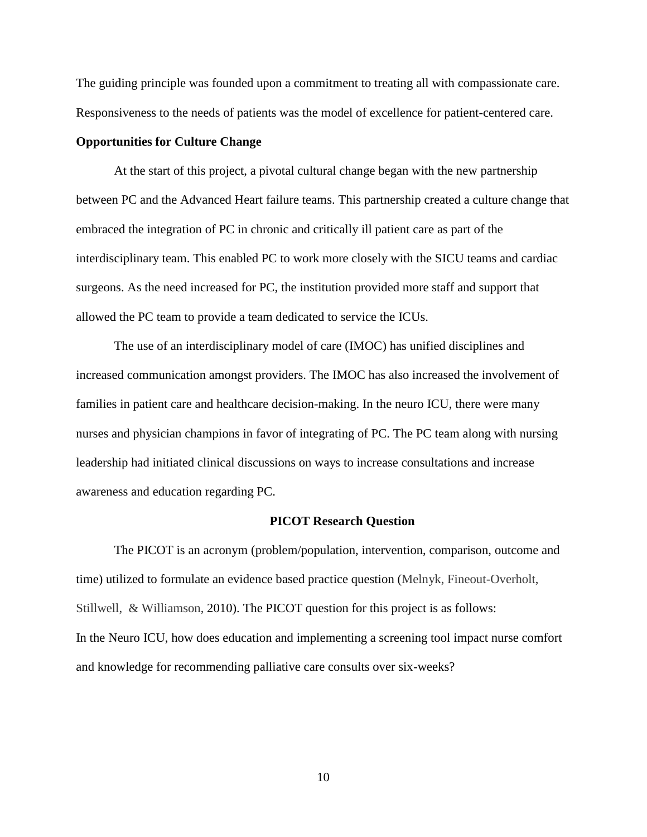The guiding principle was founded upon a commitment to treating all with compassionate care. Responsiveness to the needs of patients was the model of excellence for patient-centered care.

# **Opportunities for Culture Change**

At the start of this project, a pivotal cultural change began with the new partnership between PC and the Advanced Heart failure teams. This partnership created a culture change that embraced the integration of PC in chronic and critically ill patient care as part of the interdisciplinary team. This enabled PC to work more closely with the SICU teams and cardiac surgeons. As the need increased for PC, the institution provided more staff and support that allowed the PC team to provide a team dedicated to service the ICUs.

The use of an interdisciplinary model of care (IMOC) has unified disciplines and increased communication amongst providers. The IMOC has also increased the involvement of families in patient care and healthcare decision-making. In the neuro ICU, there were many nurses and physician champions in favor of integrating of PC. The PC team along with nursing leadership had initiated clinical discussions on ways to increase consultations and increase awareness and education regarding PC.

#### **PICOT Research Question**

The PICOT is an acronym (problem/population, intervention, comparison, outcome and time) utilized to formulate an evidence based practice question (Melnyk, Fineout-Overholt, Stillwell, & Williamson, 2010). The PICOT question for this project is as follows: In the Neuro ICU, how does education and implementing a screening tool impact nurse comfort and knowledge for recommending palliative care consults over six-weeks?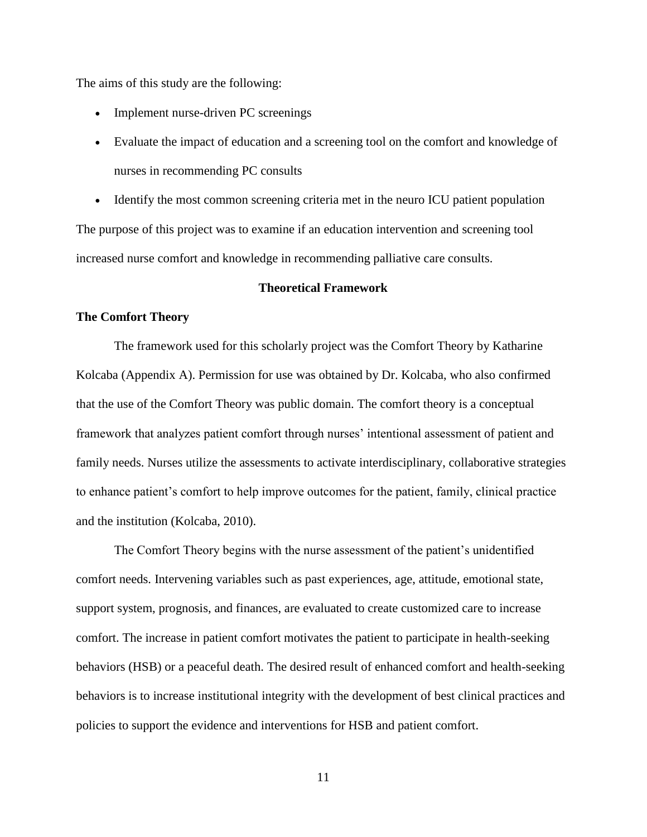The aims of this study are the following:

- Implement nurse-driven PC screenings
- Evaluate the impact of education and a screening tool on the comfort and knowledge of nurses in recommending PC consults
- Identify the most common screening criteria met in the neuro ICU patient population The purpose of this project was to examine if an education intervention and screening tool increased nurse comfort and knowledge in recommending palliative care consults.

# **Theoretical Framework**

# **The Comfort Theory**

The framework used for this scholarly project was the Comfort Theory by Katharine Kolcaba (Appendix A). Permission for use was obtained by Dr. Kolcaba, who also confirmed that the use of the Comfort Theory was public domain. The comfort theory is a conceptual framework that analyzes patient comfort through nurses' intentional assessment of patient and family needs. Nurses utilize the assessments to activate interdisciplinary, collaborative strategies to enhance patient's comfort to help improve outcomes for the patient, family, clinical practice and the institution (Kolcaba, 2010).

The Comfort Theory begins with the nurse assessment of the patient's unidentified comfort needs. Intervening variables such as past experiences, age, attitude, emotional state, support system, prognosis, and finances, are evaluated to create customized care to increase comfort. The increase in patient comfort motivates the patient to participate in health-seeking behaviors (HSB) or a peaceful death. The desired result of enhanced comfort and health-seeking behaviors is to increase institutional integrity with the development of best clinical practices and policies to support the evidence and interventions for HSB and patient comfort.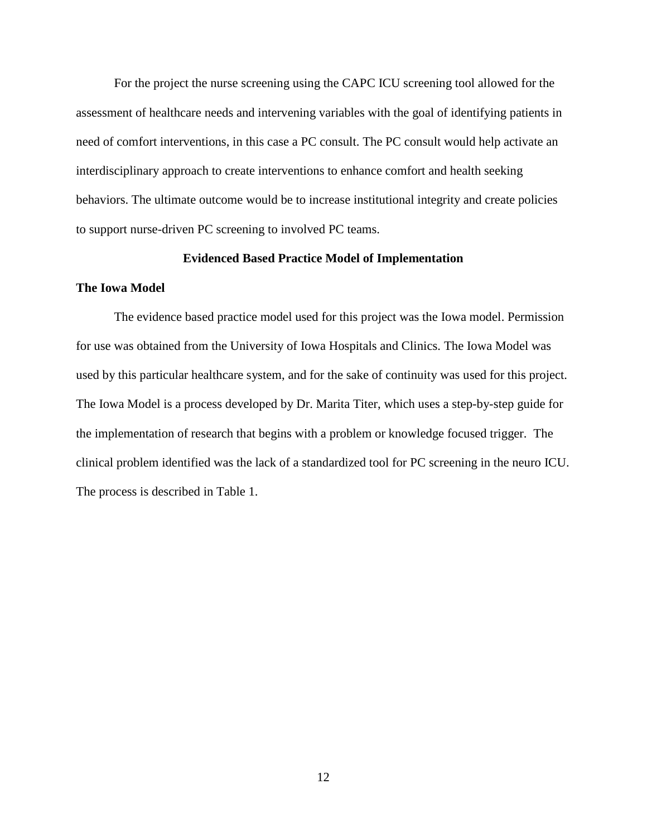For the project the nurse screening using the CAPC ICU screening tool allowed for the assessment of healthcare needs and intervening variables with the goal of identifying patients in need of comfort interventions, in this case a PC consult. The PC consult would help activate an interdisciplinary approach to create interventions to enhance comfort and health seeking behaviors. The ultimate outcome would be to increase institutional integrity and create policies to support nurse-driven PC screening to involved PC teams.

### **Evidenced Based Practice Model of Implementation**

### **The Iowa Model**

The evidence based practice model used for this project was the Iowa model. Permission for use was obtained from the University of Iowa Hospitals and Clinics. The Iowa Model was used by this particular healthcare system, and for the sake of continuity was used for this project. The Iowa Model is a process developed by Dr. Marita Titer, which uses a step-by-step guide for the implementation of research that begins with a problem or knowledge focused trigger. The clinical problem identified was the lack of a standardized tool for PC screening in the neuro ICU. The process is described in Table 1.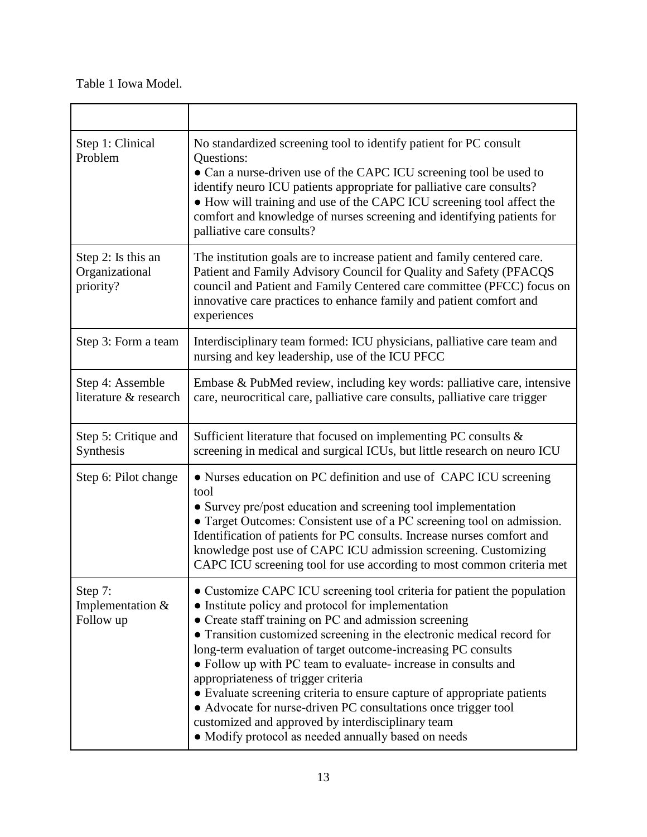Table 1 Iowa Model.

| Step 1: Clinical<br>Problem                       | No standardized screening tool to identify patient for PC consult<br>Questions:<br>• Can a nurse-driven use of the CAPC ICU screening tool be used to<br>identify neuro ICU patients appropriate for palliative care consults?<br>• How will training and use of the CAPC ICU screening tool affect the<br>comfort and knowledge of nurses screening and identifying patients for<br>palliative care consults?                                                                                                                                                                                                                                                                                     |
|---------------------------------------------------|----------------------------------------------------------------------------------------------------------------------------------------------------------------------------------------------------------------------------------------------------------------------------------------------------------------------------------------------------------------------------------------------------------------------------------------------------------------------------------------------------------------------------------------------------------------------------------------------------------------------------------------------------------------------------------------------------|
| Step 2: Is this an<br>Organizational<br>priority? | The institution goals are to increase patient and family centered care.<br>Patient and Family Advisory Council for Quality and Safety (PFACQS<br>council and Patient and Family Centered care committee (PFCC) focus on<br>innovative care practices to enhance family and patient comfort and<br>experiences                                                                                                                                                                                                                                                                                                                                                                                      |
| Step 3: Form a team                               | Interdisciplinary team formed: ICU physicians, palliative care team and<br>nursing and key leadership, use of the ICU PFCC                                                                                                                                                                                                                                                                                                                                                                                                                                                                                                                                                                         |
| Step 4: Assemble<br>literature & research         | Embase & PubMed review, including key words: palliative care, intensive<br>care, neurocritical care, palliative care consults, palliative care trigger                                                                                                                                                                                                                                                                                                                                                                                                                                                                                                                                             |
| Step 5: Critique and<br>Synthesis                 | Sufficient literature that focused on implementing PC consults $\&$<br>screening in medical and surgical ICUs, but little research on neuro ICU                                                                                                                                                                                                                                                                                                                                                                                                                                                                                                                                                    |
| Step 6: Pilot change                              | • Nurses education on PC definition and use of CAPC ICU screening<br>tool<br>• Survey pre/post education and screening tool implementation<br>• Target Outcomes: Consistent use of a PC screening tool on admission.<br>Identification of patients for PC consults. Increase nurses comfort and<br>knowledge post use of CAPC ICU admission screening. Customizing<br>CAPC ICU screening tool for use according to most common criteria met                                                                                                                                                                                                                                                        |
| Step 7:<br>Implementation &<br>Follow up          | • Customize CAPC ICU screening tool criteria for patient the population<br>• Institute policy and protocol for implementation<br>• Create staff training on PC and admission screening<br>• Transition customized screening in the electronic medical record for<br>long-term evaluation of target outcome-increasing PC consults<br>• Follow up with PC team to evaluate-increase in consults and<br>appropriateness of trigger criteria<br>• Evaluate screening criteria to ensure capture of appropriate patients<br>• Advocate for nurse-driven PC consultations once trigger tool<br>customized and approved by interdisciplinary team<br>• Modify protocol as needed annually based on needs |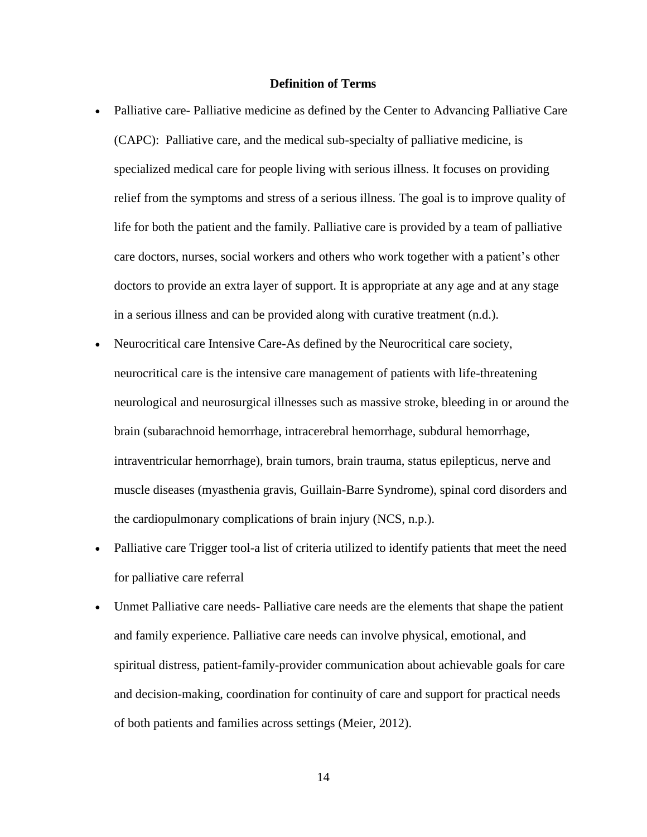# **Definition of Terms**

- Palliative care- Palliative medicine as defined by the Center to Advancing Palliative Care (CAPC): Palliative care, and the medical sub-specialty of palliative medicine, is specialized medical care for people living with serious illness. It focuses on providing relief from the symptoms and stress of a serious illness. The goal is to improve quality of life for both the patient and the family. Palliative care is provided by a team of palliative care doctors, nurses, social workers and others who work together with a patient's other doctors to provide an extra layer of support. It is appropriate at any age and at any stage in a serious illness and can be provided along with curative treatment (n.d.).
- Neurocritical care Intensive Care-As defined by the Neurocritical care society, neurocritical care is the intensive care management of patients with life-threatening neurological and neurosurgical illnesses such as massive stroke, bleeding in or around the brain (subarachnoid hemorrhage, intracerebral hemorrhage, subdural hemorrhage, intraventricular hemorrhage), brain tumors, brain trauma, status epilepticus, nerve and muscle diseases (myasthenia gravis, Guillain-Barre Syndrome), spinal cord disorders and the cardiopulmonary complications of brain injury (NCS, n.p.).
- Palliative care Trigger tool-a list of criteria utilized to identify patients that meet the need for palliative care referral
- Unmet Palliative care needs- Palliative care needs are the elements that shape the patient and family experience. Palliative care needs can involve physical, emotional, and spiritual distress, patient-family-provider communication about achievable goals for care and decision-making, coordination for continuity of care and support for practical needs of both patients and families across settings (Meier, 2012).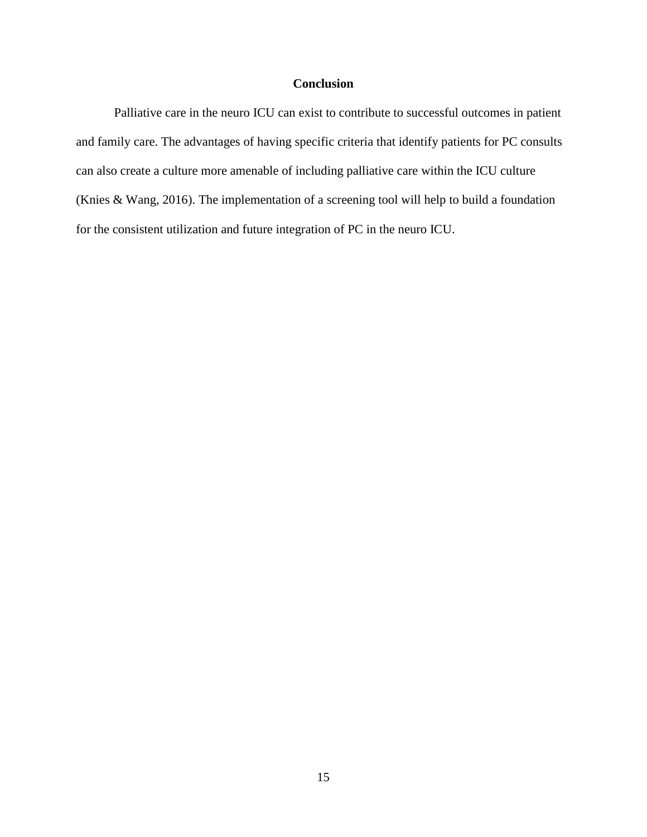# **Conclusion**

 Palliative care in the neuro ICU can exist to contribute to successful outcomes in patient and family care. The advantages of having specific criteria that identify patients for PC consults can also create a culture more amenable of including palliative care within the ICU culture (Knies & Wang, 2016). The implementation of a screening tool will help to build a foundation for the consistent utilization and future integration of PC in the neuro ICU.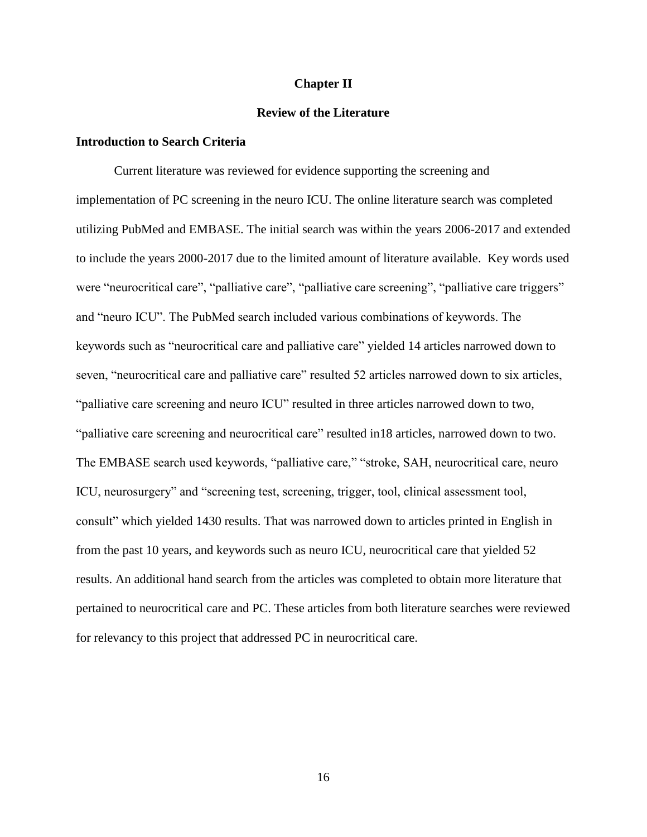### **Chapter II**

# **Review of the Literature**

# **Introduction to Search Criteria**

Current literature was reviewed for evidence supporting the screening and implementation of PC screening in the neuro ICU. The online literature search was completed utilizing PubMed and EMBASE. The initial search was within the years 2006-2017 and extended to include the years 2000-2017 due to the limited amount of literature available. Key words used were "neurocritical care", "palliative care", "palliative care screening", "palliative care triggers" and "neuro ICU". The PubMed search included various combinations of keywords. The keywords such as "neurocritical care and palliative care" yielded 14 articles narrowed down to seven, "neurocritical care and palliative care" resulted 52 articles narrowed down to six articles, "palliative care screening and neuro ICU" resulted in three articles narrowed down to two, "palliative care screening and neurocritical care" resulted in18 articles, narrowed down to two. The EMBASE search used keywords, "palliative care," "stroke, SAH, neurocritical care, neuro ICU, neurosurgery" and "screening test, screening, trigger, tool, clinical assessment tool, consult" which yielded 1430 results. That was narrowed down to articles printed in English in from the past 10 years, and keywords such as neuro ICU, neurocritical care that yielded 52 results. An additional hand search from the articles was completed to obtain more literature that pertained to neurocritical care and PC. These articles from both literature searches were reviewed for relevancy to this project that addressed PC in neurocritical care.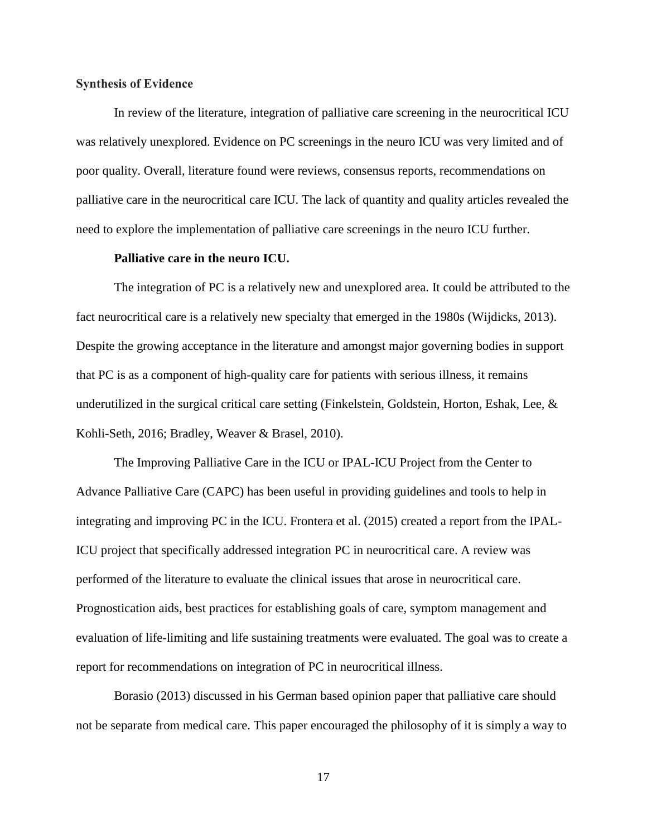# **Synthesis of Evidence**

In review of the literature, integration of palliative care screening in the neurocritical ICU was relatively unexplored. Evidence on PC screenings in the neuro ICU was very limited and of poor quality. Overall, literature found were reviews, consensus reports, recommendations on palliative care in the neurocritical care ICU. The lack of quantity and quality articles revealed the need to explore the implementation of palliative care screenings in the neuro ICU further.

# **Palliative care in the neuro ICU.**

The integration of PC is a relatively new and unexplored area. It could be attributed to the fact neurocritical care is a relatively new specialty that emerged in the 1980s (Wijdicks, 2013). Despite the growing acceptance in the literature and amongst major governing bodies in support that PC is as a component of high-quality care for patients with serious illness, it remains underutilized in the surgical critical care setting (Finkelstein, Goldstein, Horton, Eshak, Lee, & Kohli-Seth, 2016; Bradley, Weaver & Brasel, 2010).

The Improving Palliative Care in the ICU or IPAL-ICU Project from the Center to Advance Palliative Care (CAPC) has been useful in providing guidelines and tools to help in integrating and improving PC in the ICU. Frontera et al. (2015) created a report from the IPAL-ICU project that specifically addressed integration PC in neurocritical care. A review was performed of the literature to evaluate the clinical issues that arose in neurocritical care. Prognostication aids, best practices for establishing goals of care, symptom management and evaluation of life-limiting and life sustaining treatments were evaluated. The goal was to create a report for recommendations on integration of PC in neurocritical illness.

Borasio (2013) discussed in his German based opinion paper that palliative care should not be separate from medical care. This paper encouraged the philosophy of it is simply a way to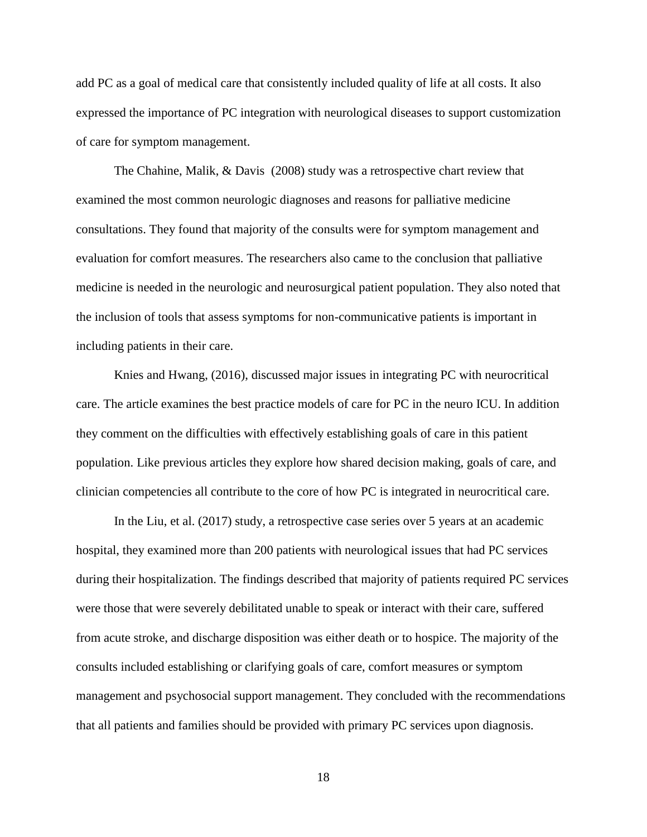add PC as a goal of medical care that consistently included quality of life at all costs. It also expressed the importance of PC integration with neurological diseases to support customization of care for symptom management.

The Chahine, Malik, & Davis (2008) study was a retrospective chart review that examined the most common neurologic diagnoses and reasons for palliative medicine consultations. They found that majority of the consults were for symptom management and evaluation for comfort measures. The researchers also came to the conclusion that palliative medicine is needed in the neurologic and neurosurgical patient population. They also noted that the inclusion of tools that assess symptoms for non-communicative patients is important in including patients in their care.

Knies and Hwang, (2016), discussed major issues in integrating PC with neurocritical care. The article examines the best practice models of care for PC in the neuro ICU. In addition they comment on the difficulties with effectively establishing goals of care in this patient population. Like previous articles they explore how shared decision making, goals of care, and clinician competencies all contribute to the core of how PC is integrated in neurocritical care.

In the Liu, et al. (2017) study, a retrospective case series over 5 years at an academic hospital, they examined more than 200 patients with neurological issues that had PC services during their hospitalization. The findings described that majority of patients required PC services were those that were severely debilitated unable to speak or interact with their care, suffered from acute stroke, and discharge disposition was either death or to hospice. The majority of the consults included establishing or clarifying goals of care, comfort measures or symptom management and psychosocial support management. They concluded with the recommendations that all patients and families should be provided with primary PC services upon diagnosis.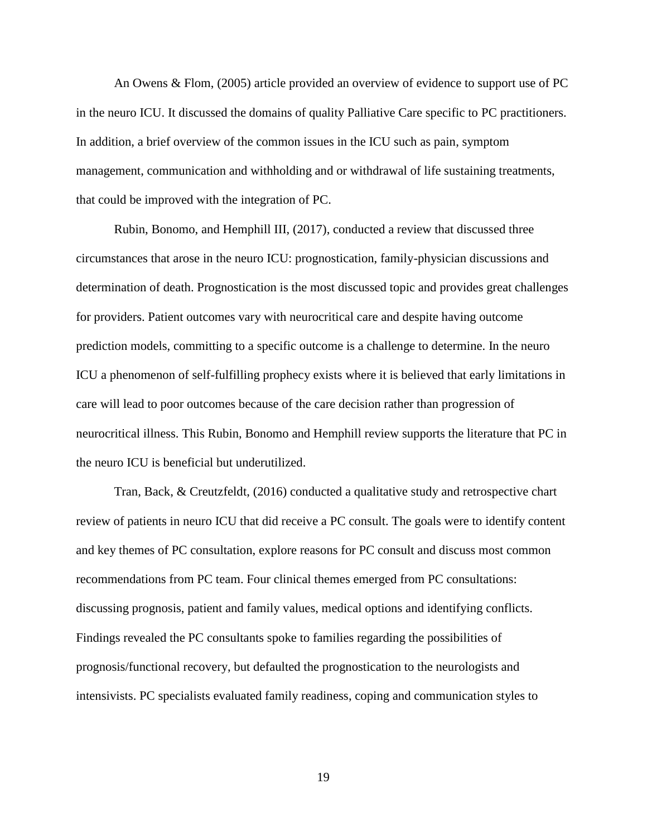An Owens & Flom, (2005) article provided an overview of evidence to support use of PC in the neuro ICU. It discussed the domains of quality Palliative Care specific to PC practitioners. In addition, a brief overview of the common issues in the ICU such as pain, symptom management, communication and withholding and or withdrawal of life sustaining treatments, that could be improved with the integration of PC.

Rubin, Bonomo, and Hemphill III, (2017), conducted a review that discussed three circumstances that arose in the neuro ICU: prognostication, family-physician discussions and determination of death. Prognostication is the most discussed topic and provides great challenges for providers. Patient outcomes vary with neurocritical care and despite having outcome prediction models, committing to a specific outcome is a challenge to determine. In the neuro ICU a phenomenon of self-fulfilling prophecy exists where it is believed that early limitations in care will lead to poor outcomes because of the care decision rather than progression of neurocritical illness. This Rubin, Bonomo and Hemphill review supports the literature that PC in the neuro ICU is beneficial but underutilized.

Tran, Back, & Creutzfeldt, (2016) conducted a qualitative study and retrospective chart review of patients in neuro ICU that did receive a PC consult. The goals were to identify content and key themes of PC consultation, explore reasons for PC consult and discuss most common recommendations from PC team. Four clinical themes emerged from PC consultations: discussing prognosis, patient and family values, medical options and identifying conflicts. Findings revealed the PC consultants spoke to families regarding the possibilities of prognosis/functional recovery, but defaulted the prognostication to the neurologists and intensivists. PC specialists evaluated family readiness, coping and communication styles to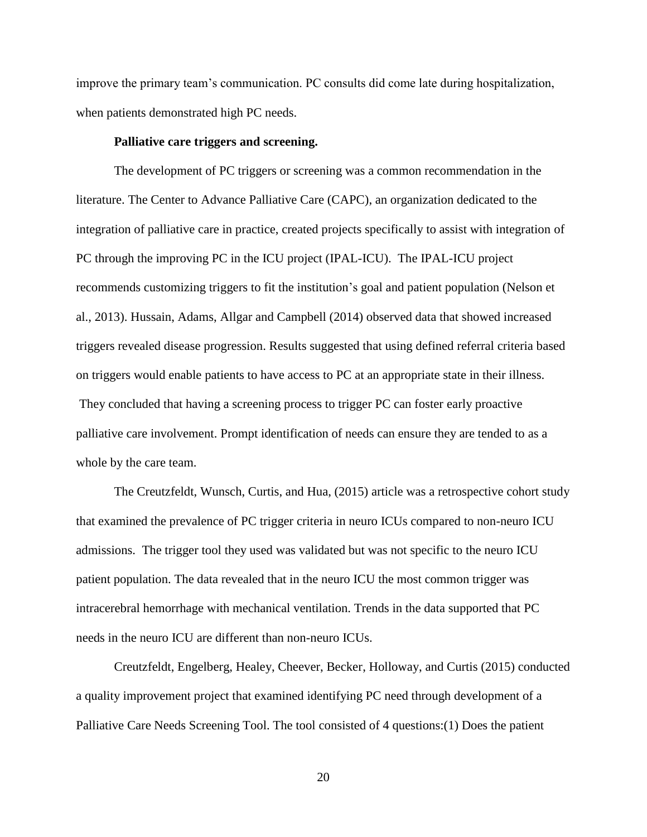improve the primary team's communication. PC consults did come late during hospitalization, when patients demonstrated high PC needs.

## **Palliative care triggers and screening.**

The development of PC triggers or screening was a common recommendation in the literature. The Center to Advance Palliative Care (CAPC), an organization dedicated to the integration of palliative care in practice, created projects specifically to assist with integration of PC through the improving PC in the ICU project (IPAL-ICU). The IPAL-ICU project recommends customizing triggers to fit the institution's goal and patient population (Nelson et al., 2013). Hussain, Adams, Allgar and Campbell (2014) observed data that showed increased triggers revealed disease progression. Results suggested that using defined referral criteria based on triggers would enable patients to have access to PC at an appropriate state in their illness. They concluded that having a screening process to trigger PC can foster early proactive palliative care involvement. Prompt identification of needs can ensure they are tended to as a whole by the care team.

The Creutzfeldt, Wunsch, Curtis, and Hua, (2015) article was a retrospective cohort study that examined the prevalence of PC trigger criteria in neuro ICUs compared to non-neuro ICU admissions. The trigger tool they used was validated but was not specific to the neuro ICU patient population. The data revealed that in the neuro ICU the most common trigger was intracerebral hemorrhage with mechanical ventilation. Trends in the data supported that PC needs in the neuro ICU are different than non-neuro ICUs.

Creutzfeldt, Engelberg, Healey, Cheever, Becker, Holloway, and Curtis (2015) conducted a quality improvement project that examined identifying PC need through development of a Palliative Care Needs Screening Tool. The tool consisted of 4 questions:(1) Does the patient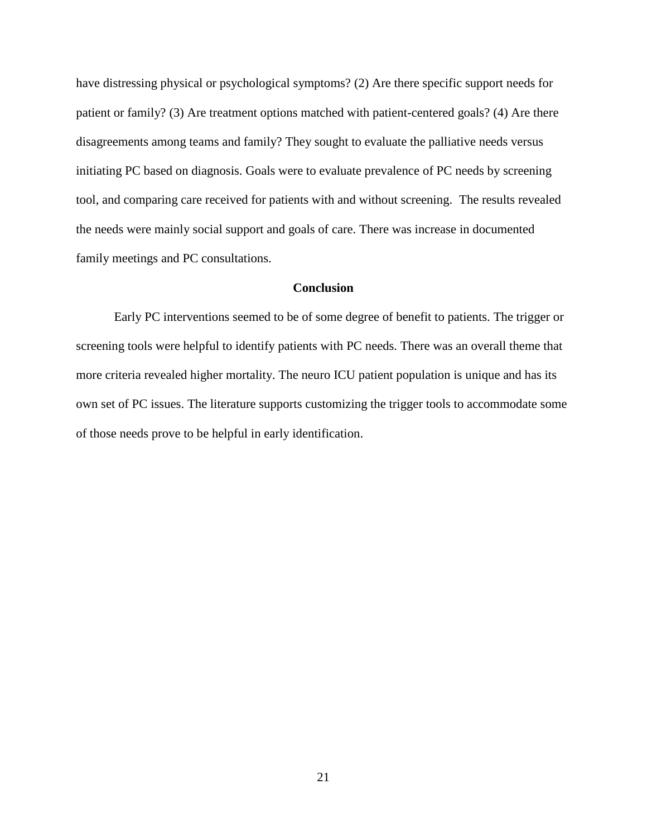have distressing physical or psychological symptoms? (2) Are there specific support needs for patient or family? (3) Are treatment options matched with patient-centered goals? (4) Are there disagreements among teams and family? They sought to evaluate the palliative needs versus initiating PC based on diagnosis. Goals were to evaluate prevalence of PC needs by screening tool, and comparing care received for patients with and without screening. The results revealed the needs were mainly social support and goals of care. There was increase in documented family meetings and PC consultations.

# **Conclusion**

Early PC interventions seemed to be of some degree of benefit to patients. The trigger or screening tools were helpful to identify patients with PC needs. There was an overall theme that more criteria revealed higher mortality. The neuro ICU patient population is unique and has its own set of PC issues. The literature supports customizing the trigger tools to accommodate some of those needs prove to be helpful in early identification.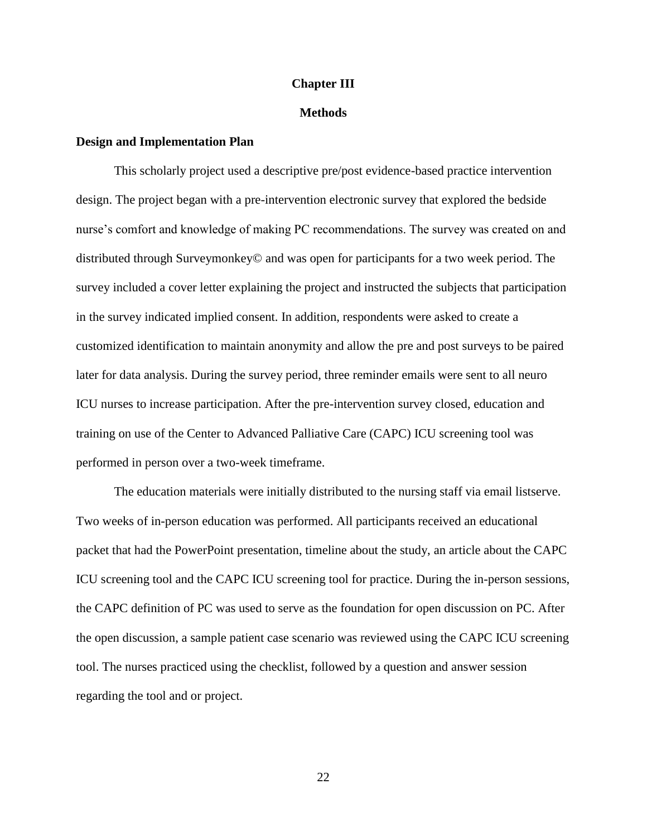## **Chapter III**

### **Methods**

# **Design and Implementation Plan**

This scholarly project used a descriptive pre/post evidence-based practice intervention design. The project began with a pre-intervention electronic survey that explored the bedside nurse's comfort and knowledge of making PC recommendations. The survey was created on and distributed through Surveymonkey© and was open for participants for a two week period. The survey included a cover letter explaining the project and instructed the subjects that participation in the survey indicated implied consent. In addition, respondents were asked to create a customized identification to maintain anonymity and allow the pre and post surveys to be paired later for data analysis. During the survey period, three reminder emails were sent to all neuro ICU nurses to increase participation. After the pre-intervention survey closed, education and training on use of the Center to Advanced Palliative Care (CAPC) ICU screening tool was performed in person over a two-week timeframe.

The education materials were initially distributed to the nursing staff via email listserve. Two weeks of in-person education was performed. All participants received an educational packet that had the PowerPoint presentation, timeline about the study, an article about the CAPC ICU screening tool and the CAPC ICU screening tool for practice. During the in-person sessions, the CAPC definition of PC was used to serve as the foundation for open discussion on PC. After the open discussion, a sample patient case scenario was reviewed using the CAPC ICU screening tool. The nurses practiced using the checklist, followed by a question and answer session regarding the tool and or project.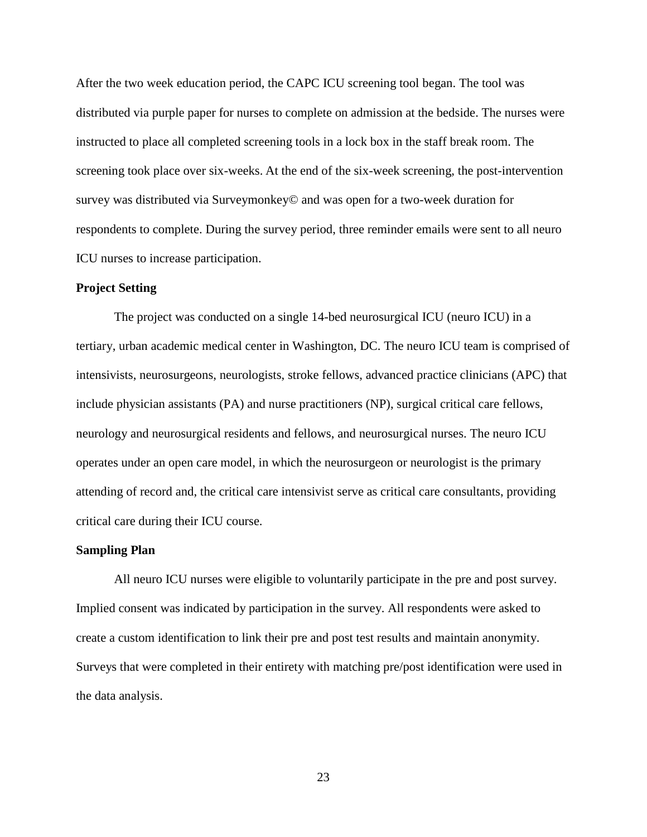After the two week education period, the CAPC ICU screening tool began. The tool was distributed via purple paper for nurses to complete on admission at the bedside. The nurses were instructed to place all completed screening tools in a lock box in the staff break room. The screening took place over six-weeks. At the end of the six-week screening, the post-intervention survey was distributed via Surveymonkey© and was open for a two-week duration for respondents to complete. During the survey period, three reminder emails were sent to all neuro ICU nurses to increase participation.

#### **Project Setting**

The project was conducted on a single 14-bed neurosurgical ICU (neuro ICU) in a tertiary, urban academic medical center in Washington, DC. The neuro ICU team is comprised of intensivists, neurosurgeons, neurologists, stroke fellows, advanced practice clinicians (APC) that include physician assistants (PA) and nurse practitioners (NP), surgical critical care fellows, neurology and neurosurgical residents and fellows, and neurosurgical nurses. The neuro ICU operates under an open care model, in which the neurosurgeon or neurologist is the primary attending of record and, the critical care intensivist serve as critical care consultants, providing critical care during their ICU course.

### **Sampling Plan**

All neuro ICU nurses were eligible to voluntarily participate in the pre and post survey. Implied consent was indicated by participation in the survey. All respondents were asked to create a custom identification to link their pre and post test results and maintain anonymity. Surveys that were completed in their entirety with matching pre/post identification were used in the data analysis.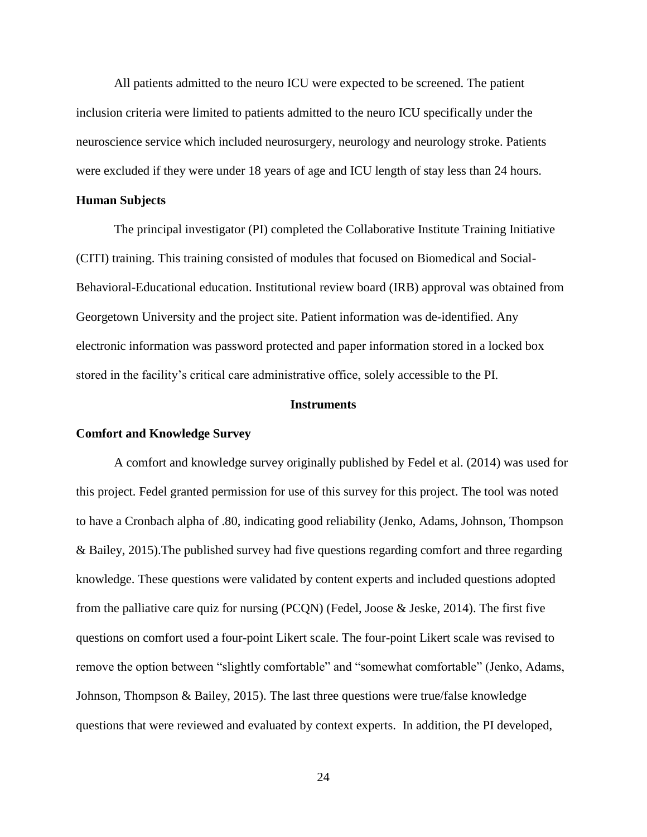All patients admitted to the neuro ICU were expected to be screened. The patient inclusion criteria were limited to patients admitted to the neuro ICU specifically under the neuroscience service which included neurosurgery, neurology and neurology stroke. Patients were excluded if they were under 18 years of age and ICU length of stay less than 24 hours.

#### **Human Subjects**

The principal investigator (PI) completed the Collaborative Institute Training Initiative (CITI) training. This training consisted of modules that focused on Biomedical and Social-Behavioral-Educational education. Institutional review board (IRB) approval was obtained from Georgetown University and the project site. Patient information was de-identified. Any electronic information was password protected and paper information stored in a locked box stored in the facility's critical care administrative office, solely accessible to the PI.

### **Instruments**

# **Comfort and Knowledge Survey**

A comfort and knowledge survey originally published by Fedel et al. (2014) was used for this project. Fedel granted permission for use of this survey for this project. The tool was noted to have a Cronbach alpha of .80, indicating good reliability (Jenko, Adams, Johnson, Thompson & Bailey, 2015).The published survey had five questions regarding comfort and three regarding knowledge. These questions were validated by content experts and included questions adopted from the palliative care quiz for nursing  $(PCQN)$  (Fedel, Joose & Jeske, 2014). The first five questions on comfort used a four-point Likert scale. The four-point Likert scale was revised to remove the option between "slightly comfortable" and "somewhat comfortable" (Jenko, Adams, Johnson, Thompson & Bailey, 2015). The last three questions were true/false knowledge questions that were reviewed and evaluated by context experts. In addition, the PI developed,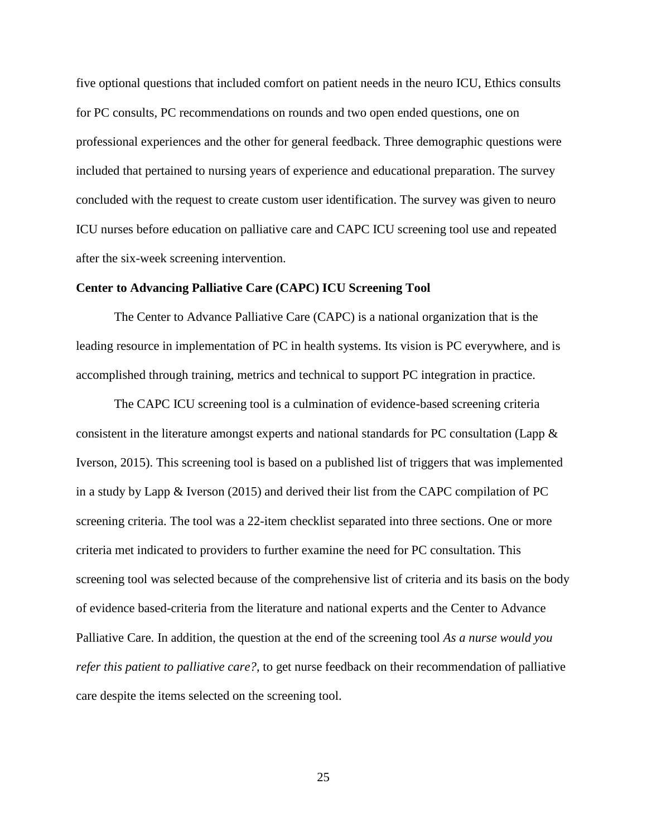five optional questions that included comfort on patient needs in the neuro ICU, Ethics consults for PC consults, PC recommendations on rounds and two open ended questions, one on professional experiences and the other for general feedback. Three demographic questions were included that pertained to nursing years of experience and educational preparation. The survey concluded with the request to create custom user identification. The survey was given to neuro ICU nurses before education on palliative care and CAPC ICU screening tool use and repeated after the six-week screening intervention.

# **Center to Advancing Palliative Care (CAPC) ICU Screening Tool**

The Center to Advance Palliative Care (CAPC) is a national organization that is the leading resource in implementation of PC in health systems. Its vision is PC everywhere, and is accomplished through training, metrics and technical to support PC integration in practice.

The CAPC ICU screening tool is a culmination of evidence-based screening criteria consistent in the literature amongst experts and national standards for PC consultation (Lapp & Iverson, 2015). This screening tool is based on a published list of triggers that was implemented in a study by Lapp & Iverson (2015) and derived their list from the CAPC compilation of PC screening criteria. The tool was a 22-item checklist separated into three sections. One or more criteria met indicated to providers to further examine the need for PC consultation. This screening tool was selected because of the comprehensive list of criteria and its basis on the body of evidence based-criteria from the literature and national experts and the Center to Advance Palliative Care. In addition, the question at the end of the screening tool *As a nurse would you refer this patient to palliative care?*, to get nurse feedback on their recommendation of palliative care despite the items selected on the screening tool.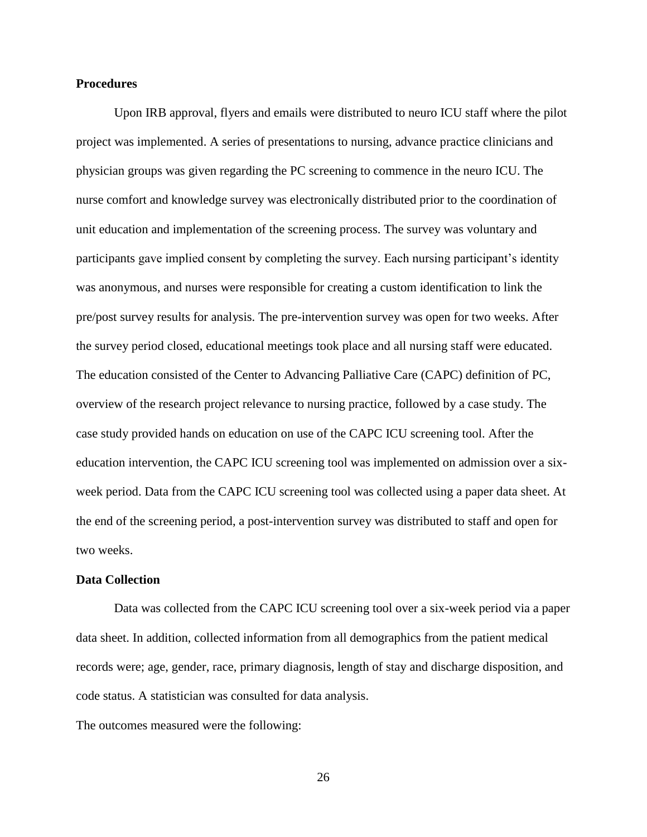# **Procedures**

Upon IRB approval, flyers and emails were distributed to neuro ICU staff where the pilot project was implemented. A series of presentations to nursing, advance practice clinicians and physician groups was given regarding the PC screening to commence in the neuro ICU. The nurse comfort and knowledge survey was electronically distributed prior to the coordination of unit education and implementation of the screening process. The survey was voluntary and participants gave implied consent by completing the survey. Each nursing participant's identity was anonymous, and nurses were responsible for creating a custom identification to link the pre/post survey results for analysis. The pre-intervention survey was open for two weeks. After the survey period closed, educational meetings took place and all nursing staff were educated. The education consisted of the Center to Advancing Palliative Care (CAPC) definition of PC, overview of the research project relevance to nursing practice, followed by a case study. The case study provided hands on education on use of the CAPC ICU screening tool. After the education intervention, the CAPC ICU screening tool was implemented on admission over a sixweek period. Data from the CAPC ICU screening tool was collected using a paper data sheet. At the end of the screening period, a post-intervention survey was distributed to staff and open for two weeks.

## **Data Collection**

Data was collected from the CAPC ICU screening tool over a six-week period via a paper data sheet. In addition, collected information from all demographics from the patient medical records were; age, gender, race, primary diagnosis, length of stay and discharge disposition, and code status. A statistician was consulted for data analysis.

The outcomes measured were the following: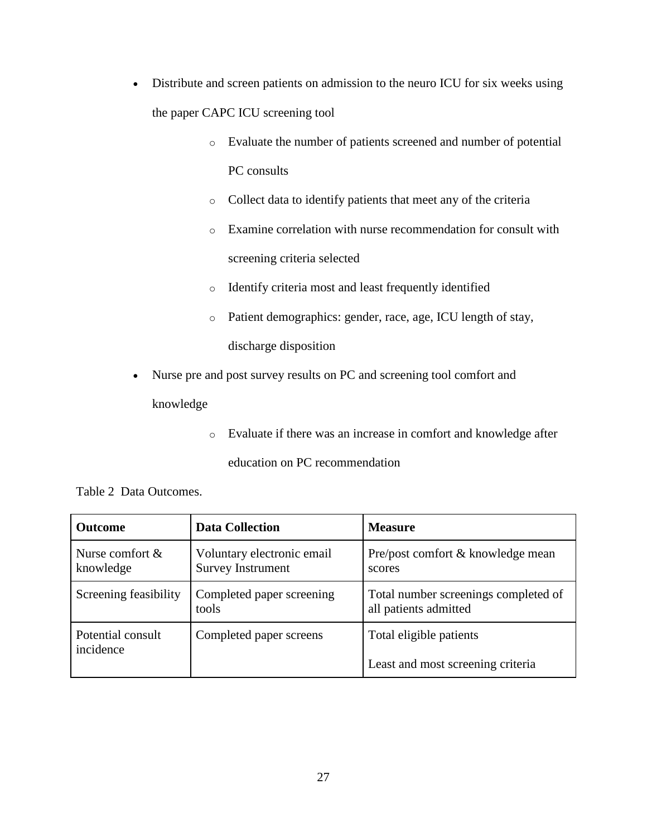- Distribute and screen patients on admission to the neuro ICU for six weeks using the paper CAPC ICU screening tool
	- o Evaluate the number of patients screened and number of potential PC consults
	- o Collect data to identify patients that meet any of the criteria
	- o Examine correlation with nurse recommendation for consult with screening criteria selected
	- o Identify criteria most and least frequently identified
	- o Patient demographics: gender, race, age, ICU length of stay, discharge disposition
- Nurse pre and post survey results on PC and screening tool comfort and

knowledge

o Evaluate if there was an increase in comfort and knowledge after

education on PC recommendation

Table 2 Data Outcomes.

| <b>Outcome</b>                  | <b>Data Collection</b>                                 | <b>Measure</b>                                                |
|---------------------------------|--------------------------------------------------------|---------------------------------------------------------------|
| Nurse comfort $\&$<br>knowledge | Voluntary electronic email<br><b>Survey Instrument</b> | Pre/post comfort & knowledge mean<br>scores                   |
| Screening feasibility           | Completed paper screening<br>tools                     | Total number screenings completed of<br>all patients admitted |
| Potential consult<br>incidence  | Completed paper screens                                | Total eligible patients                                       |
|                                 |                                                        | Least and most screening criteria                             |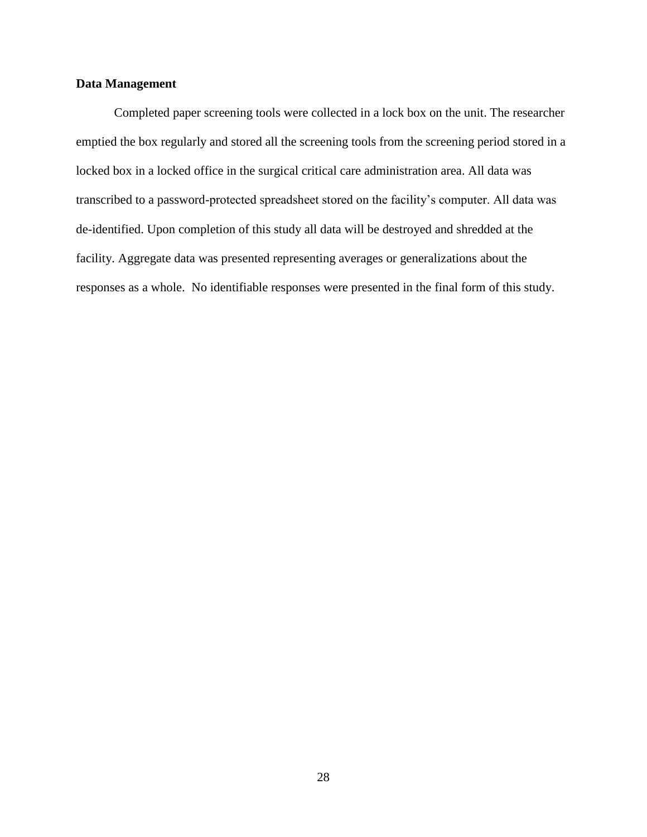# **Data Management**

Completed paper screening tools were collected in a lock box on the unit. The researcher emptied the box regularly and stored all the screening tools from the screening period stored in a locked box in a locked office in the surgical critical care administration area. All data was transcribed to a password-protected spreadsheet stored on the facility's computer. All data was de-identified. Upon completion of this study all data will be destroyed and shredded at the facility. Aggregate data was presented representing averages or generalizations about the responses as a whole. No identifiable responses were presented in the final form of this study.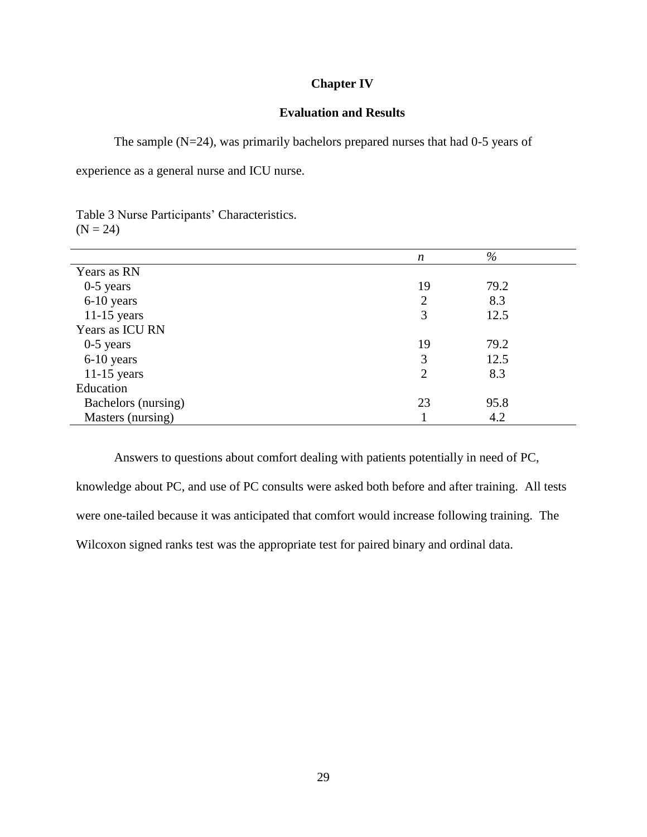# **Chapter IV**

# **Evaluation and Results**

The sample (N=24), was primarily bachelors prepared nurses that had 0-5 years of

experience as a general nurse and ICU nurse.

Table 3 Nurse Participants' Characteristics.  $(N = 24)$ 

|                     | $\boldsymbol{n}$ | $\%$ |  |
|---------------------|------------------|------|--|
| Years as RN         |                  |      |  |
| $0-5$ years         | 19               | 79.2 |  |
| 6-10 years          | $\overline{2}$   | 8.3  |  |
| $11-15$ years       | 3                | 12.5 |  |
| Years as ICU RN     |                  |      |  |
| $0-5$ years         | 19               | 79.2 |  |
| 6-10 years          | 3                | 12.5 |  |
| $11-15$ years       | $\overline{2}$   | 8.3  |  |
| Education           |                  |      |  |
| Bachelors (nursing) | 23               | 95.8 |  |
| Masters (nursing)   |                  | 4.2  |  |

Answers to questions about comfort dealing with patients potentially in need of PC, knowledge about PC, and use of PC consults were asked both before and after training. All tests were one-tailed because it was anticipated that comfort would increase following training. The Wilcoxon signed ranks test was the appropriate test for paired binary and ordinal data.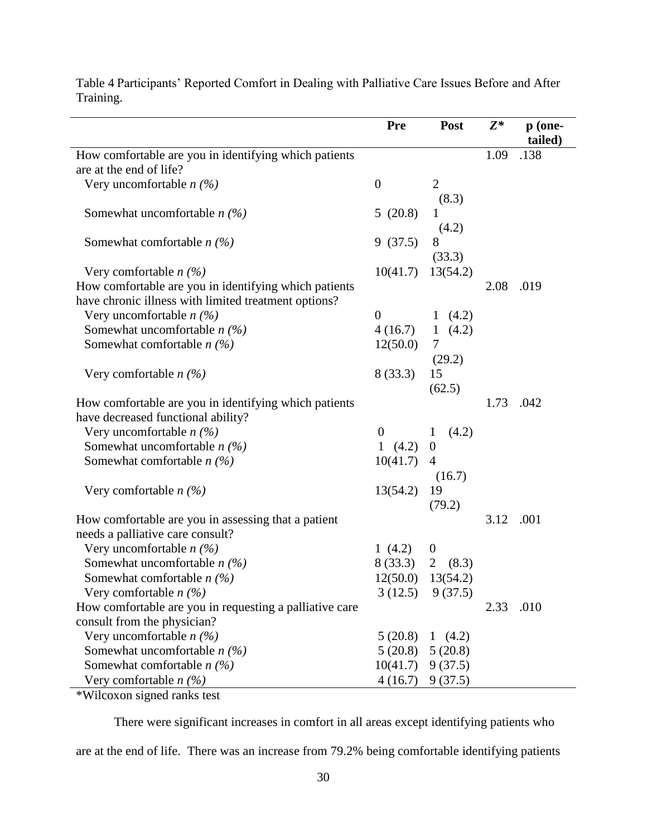|                                                         | Pre              | Post                | $Z^*$ | p (one-<br>tailed) |
|---------------------------------------------------------|------------------|---------------------|-------|--------------------|
| How comfortable are you in identifying which patients   |                  |                     | 1.09  | .138               |
| are at the end of life?                                 |                  |                     |       |                    |
| Very uncomfortable $n$ (%)                              | $\boldsymbol{0}$ | $\overline{2}$      |       |                    |
|                                                         |                  | (8.3)               |       |                    |
| Somewhat uncomfortable $n$ (%)                          | 5(20.8)          |                     |       |                    |
|                                                         |                  | (4.2)               |       |                    |
| Somewhat comfortable $n$ (%)                            | 9(37.5)          | 8                   |       |                    |
|                                                         |                  | (33.3)              |       |                    |
| Very comfortable $n$ (%)                                | 10(41.7)         | 13(54.2)            |       |                    |
| How comfortable are you in identifying which patients   |                  |                     | 2.08  | .019               |
| have chronic illness with limited treatment options?    |                  |                     |       |                    |
| Very uncomfortable $n$ (%)                              | $\theta$         | 1 $(4.2)$           |       |                    |
| Somewhat uncomfortable $n$ (%)                          | 4(16.7)          | 1 $(4.2)$           |       |                    |
| Somewhat comfortable $n$ (%)                            | 12(50.0)         | 7                   |       |                    |
|                                                         |                  | (29.2)              |       |                    |
| Very comfortable $n$ (%)                                | 8(33.3)          | 15                  |       |                    |
|                                                         |                  | (62.5)              |       |                    |
| How comfortable are you in identifying which patients   |                  |                     | 1.73  | .042               |
| have decreased functional ability?                      |                  |                     |       |                    |
| Very uncomfortable $n$ (%)                              | $\boldsymbol{0}$ | (4.2)<br>1          |       |                    |
| Somewhat uncomfortable $n$ (%)                          | 1 $(4.2)$        | $\boldsymbol{0}$    |       |                    |
| Somewhat comfortable $n$ (%)                            | 10(41.7)         | $\overline{4}$      |       |                    |
|                                                         |                  | (16.7)              |       |                    |
| Very comfortable $n$ (%)                                | 13(54.2)         | 19                  |       |                    |
|                                                         |                  | (79.2)              |       |                    |
| How comfortable are you in assessing that a patient     |                  |                     | 3.12  | .001               |
| needs a palliative care consult?                        |                  |                     |       |                    |
| Very uncomfortable $n$ (%)                              | 1 $(4.2)$        | $\boldsymbol{0}$    |       |                    |
| Somewhat uncomfortable $n$ (%)                          | 8(33.3)          | 2<br>(8.3)          |       |                    |
| Somewhat comfortable $n$ (%)                            | 12(50.0)         | 13(54.2)            |       |                    |
| Very comfortable $n$ (%)                                |                  | $3(12.5)$ $9(37.5)$ |       |                    |
| How comfortable are you in requesting a palliative care |                  |                     | 2.33  | .010               |
| consult from the physician?                             |                  |                     |       |                    |
| Very uncomfortable $n$ (%)                              | 5(20.8)          | 1 $(4.2)$           |       |                    |
| Somewhat uncomfortable $n$ (%)                          | 5(20.8)          | 5(20.8)             |       |                    |
| Somewhat comfortable $n$ (%)                            | 10(41.7)         | 9(37.5)             |       |                    |
| Very comfortable $n$ (%)                                | 4(16.7)          | 9(37.5)             |       |                    |

Table 4 Participants' Reported Comfort in Dealing with Palliative Care Issues Before and After Training.

\*Wilcoxon signed ranks test

There were significant increases in comfort in all areas except identifying patients who are at the end of life. There was an increase from 79.2% being comfortable identifying patients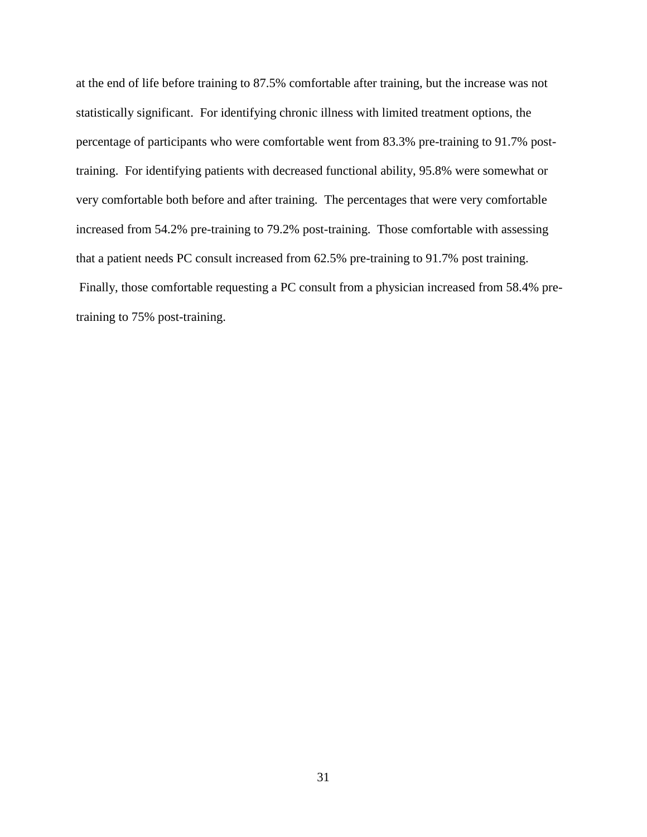at the end of life before training to 87.5% comfortable after training, but the increase was not statistically significant. For identifying chronic illness with limited treatment options, the percentage of participants who were comfortable went from 83.3% pre-training to 91.7% posttraining. For identifying patients with decreased functional ability, 95.8% were somewhat or very comfortable both before and after training. The percentages that were very comfortable increased from 54.2% pre-training to 79.2% post-training. Those comfortable with assessing that a patient needs PC consult increased from 62.5% pre-training to 91.7% post training. Finally, those comfortable requesting a PC consult from a physician increased from 58.4% pretraining to 75% post-training.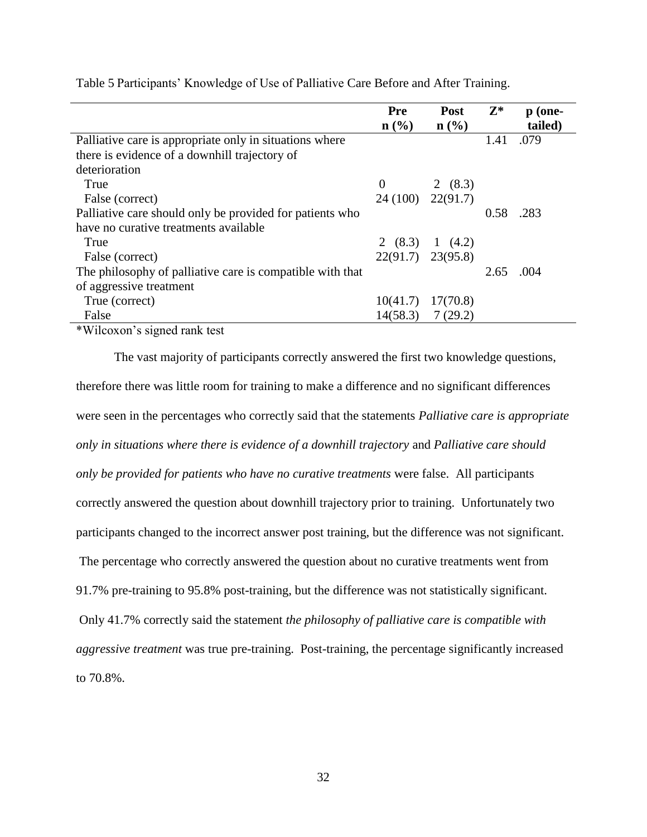|                                                                  | Pre                   | Post                        | $\mathbf{Z}^*$ | $p(one-$ |
|------------------------------------------------------------------|-----------------------|-----------------------------|----------------|----------|
|                                                                  | $\mathbf{n}(\%)$      | $n\left(\frac{0}{0}\right)$ |                | tailed)  |
| Palliative care is appropriate only in situations where          |                       |                             | 1.41           | .079     |
| there is evidence of a downhill trajectory of                    |                       |                             |                |          |
| deterioration                                                    |                       |                             |                |          |
| True                                                             | $\theta$              | 2 $(8.3)$                   |                |          |
| False (correct)                                                  | $24(100)$ $22(91.7)$  |                             |                |          |
| Palliative care should only be provided for patients who         |                       |                             | 0.58           | .283     |
| have no curative treatments available                            |                       |                             |                |          |
| True                                                             |                       | 2 $(8.3)$ 1 $(4.2)$         |                |          |
| False (correct)                                                  | $22(91.7)$ $23(95.8)$ |                             |                |          |
| The philosophy of palliative care is compatible with that        |                       |                             | 2.65           | .004     |
| of aggressive treatment                                          |                       |                             |                |          |
| True (correct)                                                   | 10(41.7)              | 17(70.8)                    |                |          |
| False                                                            |                       | $14(58.3)$ 7 (29.2)         |                |          |
| $\sim$ $\sim$<br>$\mathbf{1}$ $\mathbf{1}$ $\mathbf{1}$<br>$+11$ |                       |                             |                |          |

Table 5 Participants' Knowledge of Use of Palliative Care Before and After Training.

\*Wilcoxon's signed rank test

The vast majority of participants correctly answered the first two knowledge questions, therefore there was little room for training to make a difference and no significant differences were seen in the percentages who correctly said that the statements *Palliative care is appropriate only in situations where there is evidence of a downhill trajectory* and *Palliative care should only be provided for patients who have no curative treatments* were false. All participants correctly answered the question about downhill trajectory prior to training. Unfortunately two participants changed to the incorrect answer post training, but the difference was not significant. The percentage who correctly answered the question about no curative treatments went from 91.7% pre-training to 95.8% post-training, but the difference was not statistically significant. Only 41.7% correctly said the statement *the philosophy of palliative care is compatible with aggressive treatment* was true pre-training. Post-training, the percentage significantly increased to 70.8%.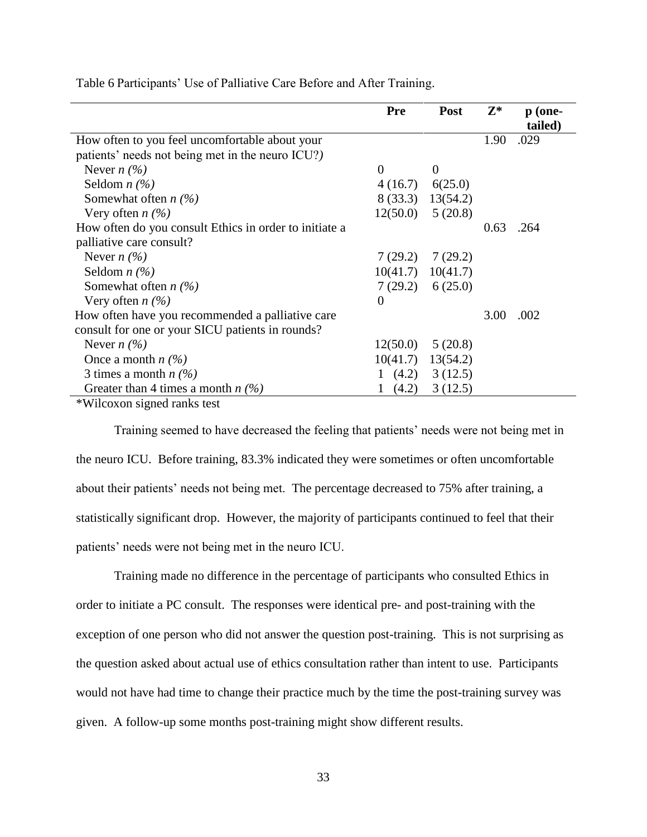|                                                        | <b>Pre</b>      | <b>Post</b>           | $\mathbf{Z}^*$ | p (one-<br>tailed) |
|--------------------------------------------------------|-----------------|-----------------------|----------------|--------------------|
| How often to you feel uncomfortable about your         |                 |                       | 1.90           | .029               |
| patients' needs not being met in the neuro ICU?)       |                 |                       |                |                    |
| Never $n(\%)$                                          | $\Omega$        | $\overline{0}$        |                |                    |
| Seldom $n$ (%)                                         | 4(16.7) 6(25.0) |                       |                |                    |
| Somewhat often $n$ (%)                                 |                 | 8 (33.3) 13 (54.2)    |                |                    |
| Very often $n(\%)$                                     |                 | $12(50.0)$ 5 (20.8)   |                |                    |
| How often do you consult Ethics in order to initiate a |                 |                       | 0.63           | .264               |
| palliative care consult?                               |                 |                       |                |                    |
| Never $n(\%)$                                          |                 | $7(29.2)$ $7(29.2)$   |                |                    |
| Seldom $n$ (%)                                         |                 | $10(41.7)$ $10(41.7)$ |                |                    |
| Somewhat often $n$ (%)                                 |                 | 7(29.2) 6(25.0)       |                |                    |
| Very often $n$ (%)                                     | $\overline{0}$  |                       |                |                    |
| How often have you recommended a palliative care       |                 |                       | 3.00           | .002               |
| consult for one or your SICU patients in rounds?       |                 |                       |                |                    |
| Never $n(\%)$                                          | 12(50.0)        | 5(20.8)               |                |                    |
| Once a month $n(\%)$                                   |                 | $10(41.7)$ $13(54.2)$ |                |                    |
| 3 times a month $n$ (%)                                |                 | 1 $(4.2)$ 3 $(12.5)$  |                |                    |
| Greater than 4 times a month $n$ (%)                   | (4.2)           | 3(12.5)               |                |                    |

Table 6 Participants' Use of Palliative Care Before and After Training.

\*Wilcoxon signed ranks test

Training seemed to have decreased the feeling that patients' needs were not being met in the neuro ICU. Before training, 83.3% indicated they were sometimes or often uncomfortable about their patients' needs not being met. The percentage decreased to 75% after training, a statistically significant drop. However, the majority of participants continued to feel that their patients' needs were not being met in the neuro ICU.

Training made no difference in the percentage of participants who consulted Ethics in order to initiate a PC consult. The responses were identical pre- and post-training with the exception of one person who did not answer the question post-training. This is not surprising as the question asked about actual use of ethics consultation rather than intent to use. Participants would not have had time to change their practice much by the time the post-training survey was given. A follow-up some months post-training might show different results.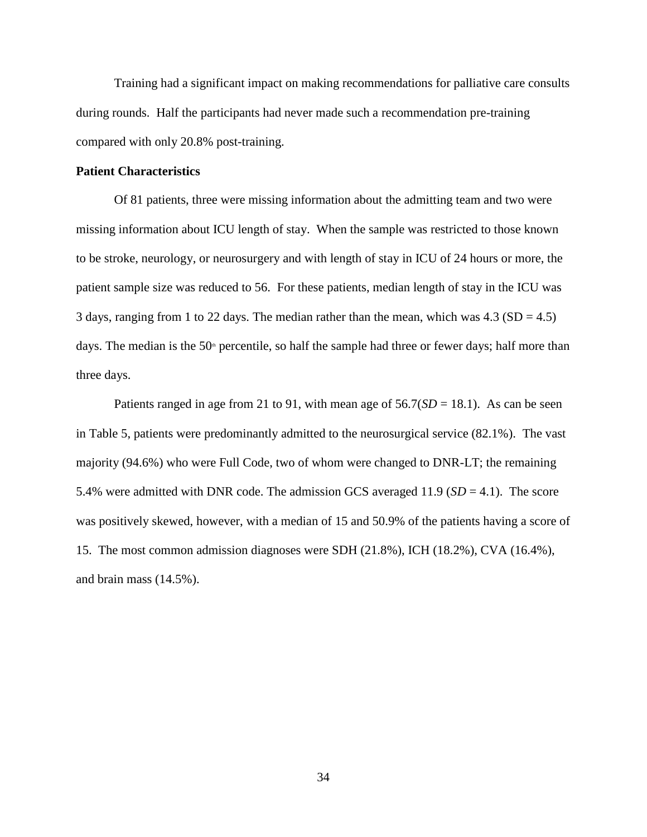Training had a significant impact on making recommendations for palliative care consults during rounds. Half the participants had never made such a recommendation pre-training compared with only 20.8% post-training.

## **Patient Characteristics**

Of 81 patients, three were missing information about the admitting team and two were missing information about ICU length of stay. When the sample was restricted to those known to be stroke, neurology, or neurosurgery and with length of stay in ICU of 24 hours or more, the patient sample size was reduced to 56. For these patients, median length of stay in the ICU was 3 days, ranging from 1 to 22 days. The median rather than the mean, which was  $4.3$  (SD = 4.5) days. The median is the  $50<sup>th</sup>$  percentile, so half the sample had three or fewer days; half more than three days.

Patients ranged in age from 21 to 91, with mean age of  $56.7(SD = 18.1)$ . As can be seen in Table 5, patients were predominantly admitted to the neurosurgical service (82.1%). The vast majority (94.6%) who were Full Code, two of whom were changed to DNR-LT; the remaining 5.4% were admitted with DNR code. The admission GCS averaged 11.9 (*SD* = 4.1). The score was positively skewed, however, with a median of 15 and 50.9% of the patients having a score of 15. The most common admission diagnoses were SDH (21.8%), ICH (18.2%), CVA (16.4%), and brain mass (14.5%).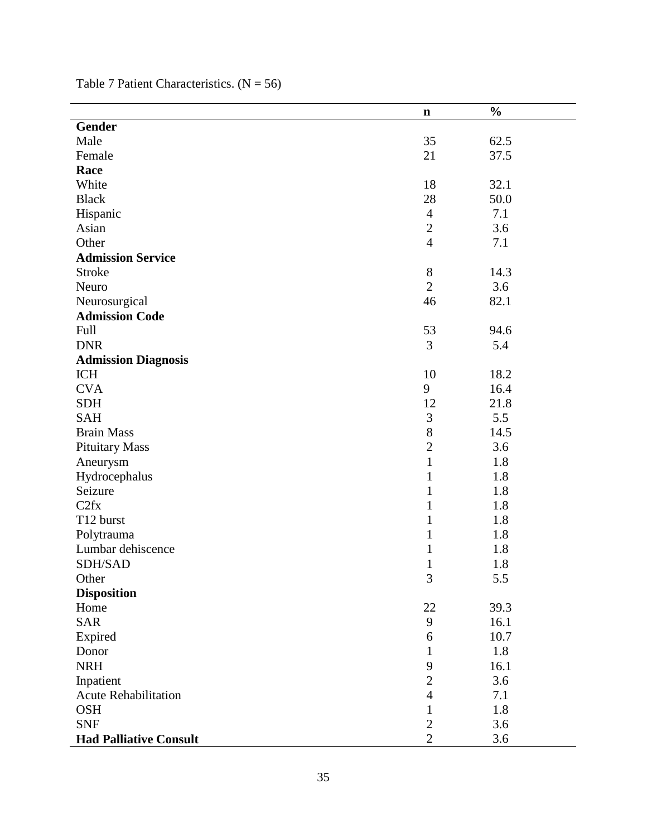|                               | $\mathbf n$    | $\frac{0}{0}$ |
|-------------------------------|----------------|---------------|
| <b>Gender</b>                 |                |               |
| Male                          | 35             | 62.5          |
| Female                        | 21             | 37.5          |
| Race                          |                |               |
| White                         | 18             | 32.1          |
| <b>Black</b>                  | 28             | 50.0          |
| Hispanic                      | $\overline{4}$ | 7.1           |
| Asian                         | $\sqrt{2}$     | 3.6           |
| Other                         | $\overline{4}$ | 7.1           |
| <b>Admission Service</b>      |                |               |
| <b>Stroke</b>                 | $8\,$          | 14.3          |
| Neuro                         | $\overline{2}$ | 3.6           |
| Neurosurgical                 | 46             | 82.1          |
| <b>Admission Code</b>         |                |               |
| Full                          | 53             | 94.6          |
| <b>DNR</b>                    | 3              | 5.4           |
| <b>Admission Diagnosis</b>    |                |               |
| <b>ICH</b>                    | 10             | 18.2          |
| <b>CVA</b>                    | 9              | 16.4          |
| <b>SDH</b>                    | 12             | 21.8          |
| <b>SAH</b>                    | $\mathfrak{Z}$ | 5.5           |
| <b>Brain Mass</b>             | $8\,$          | 14.5          |
| <b>Pituitary Mass</b>         | $\overline{c}$ | 3.6           |
| Aneurysm                      | $\mathbf{1}$   | 1.8           |
| Hydrocephalus                 | $\mathbf{1}$   | 1.8           |
| Seizure                       | $\mathbf{1}$   | 1.8           |
| C2fx                          | $\mathbf{1}$   | 1.8           |
| T12 burst                     | $\mathbf{1}$   | 1.8           |
| Polytrauma                    | 1              | 1.8           |
| Lumbar dehiscence             | $\mathbf{1}$   | 1.8           |
| SDH/SAD                       | $\mathbf{1}$   | 1.8           |
| Other                         | 3              | 5.5           |
| <b>Disposition</b>            |                |               |
| Home                          | 22             | 39.3          |
| <b>SAR</b>                    | 9              | 16.1          |
| Expired                       | 6              | 10.7          |
| Donor                         | 1              | 1.8           |
| <b>NRH</b>                    | 9              | 16.1          |
| Inpatient                     | $\mathbf{2}$   | 3.6           |
| <b>Acute Rehabilitation</b>   | $\overline{4}$ | 7.1           |
| <b>OSH</b>                    | $\mathbf{1}$   | 1.8           |
| <b>SNF</b>                    | $\sqrt{2}$     | 3.6           |
| <b>Had Palliative Consult</b> | $\overline{2}$ | 3.6           |

Table 7 Patient Characteristics.  $(N = 56)$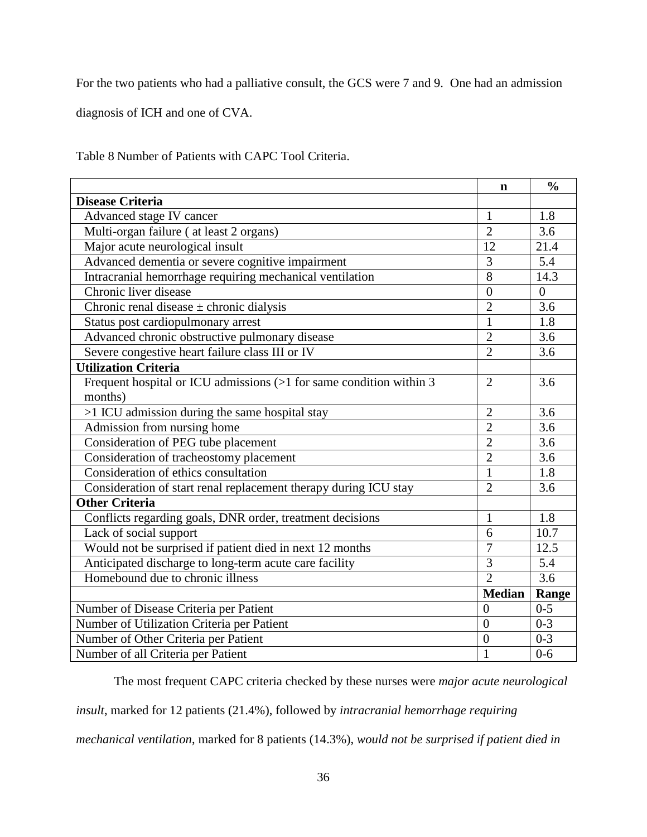For the two patients who had a palliative consult, the GCS were 7 and 9. One had an admission

diagnosis of ICH and one of CVA.

Table 8 Number of Patients with CAPC Tool Criteria.

|                                                                     | $\mathbf n$      | $\frac{0}{0}$    |
|---------------------------------------------------------------------|------------------|------------------|
| <b>Disease Criteria</b>                                             |                  |                  |
| Advanced stage IV cancer                                            | $\mathbf{1}$     | 1.8              |
| Multi-organ failure (at least 2 organs)                             | $\overline{2}$   | 3.6              |
| Major acute neurological insult                                     | 12               | 21.4             |
| Advanced dementia or severe cognitive impairment                    | 3                | 5.4              |
| Intracranial hemorrhage requiring mechanical ventilation            | 8                | 14.3             |
| Chronic liver disease                                               | $\overline{0}$   | $\overline{0}$   |
| Chronic renal disease $\pm$ chronic dialysis                        | $\overline{2}$   | 3.6              |
| Status post cardiopulmonary arrest                                  | $\mathbf{1}$     | 1.8              |
| Advanced chronic obstructive pulmonary disease                      | $\overline{2}$   | 3.6              |
| Severe congestive heart failure class III or IV                     | $\overline{2}$   | 3.6              |
| <b>Utilization Criteria</b>                                         |                  |                  |
| Frequent hospital or ICU admissions (>1 for same condition within 3 | $\overline{2}$   | 3.6              |
| months)                                                             |                  |                  |
| >1 ICU admission during the same hospital stay                      | $\overline{2}$   | 3.6              |
| Admission from nursing home                                         | $\overline{2}$   | 3.6              |
| Consideration of PEG tube placement                                 | $\overline{2}$   | 3.6              |
| Consideration of tracheostomy placement                             | $\overline{2}$   | 3.6              |
| Consideration of ethics consultation                                | 1                | 1.8              |
| Consideration of start renal replacement therapy during ICU stay    | $\overline{2}$   | 3.6              |
| <b>Other Criteria</b>                                               |                  |                  |
| Conflicts regarding goals, DNR order, treatment decisions           | $\mathbf{1}$     | 1.8              |
| Lack of social support                                              | 6                | 10.7             |
| Would not be surprised if patient died in next 12 months            | $\overline{7}$   | 12.5             |
| Anticipated discharge to long-term acute care facility              | 3                | 5.4              |
| Homebound due to chronic illness                                    | $\overline{2}$   | $\overline{3.6}$ |
|                                                                     | <b>Median</b>    | Range            |
| Number of Disease Criteria per Patient                              | $\overline{0}$   | $0 - 5$          |
| Number of Utilization Criteria per Patient                          | $\overline{0}$   | $0 - 3$          |
| Number of Other Criteria per Patient                                | $\boldsymbol{0}$ | $0 - 3$          |
| Number of all Criteria per Patient                                  | $\mathbf{1}$     | $0 - 6$          |

The most frequent CAPC criteria checked by these nurses were *major acute neurological* 

*insult*, marked for 12 patients (21.4%), followed by *intracranial hemorrhage requiring* 

*mechanical ventilation*, marked for 8 patients (14.3%), *would not be surprised if patient died in*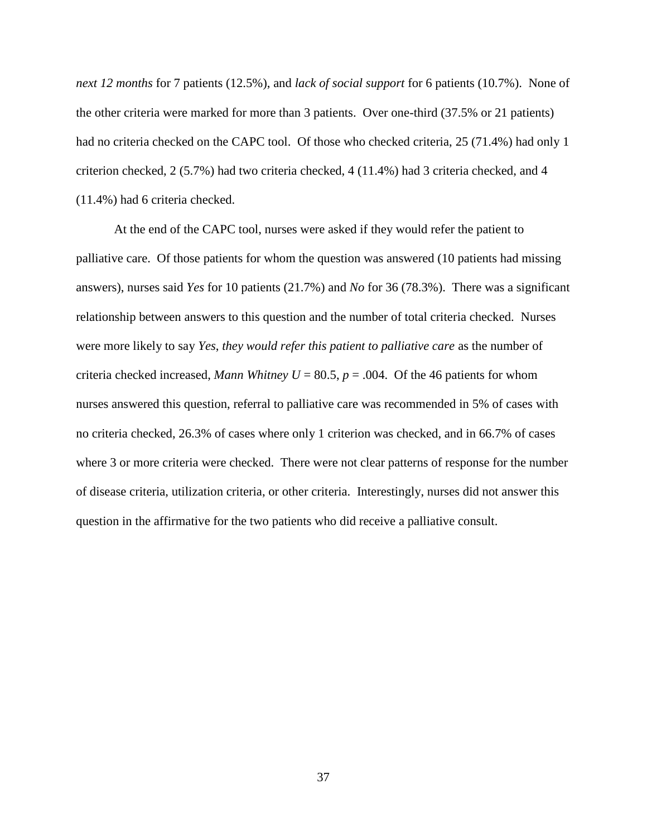*next 12 months* for 7 patients (12.5%), and *lack of social support* for 6 patients (10.7%). None of the other criteria were marked for more than 3 patients. Over one-third (37.5% or 21 patients) had no criteria checked on the CAPC tool. Of those who checked criteria, 25 (71.4%) had only 1 criterion checked, 2 (5.7%) had two criteria checked, 4 (11.4%) had 3 criteria checked, and 4 (11.4%) had 6 criteria checked.

At the end of the CAPC tool, nurses were asked if they would refer the patient to palliative care. Of those patients for whom the question was answered (10 patients had missing answers), nurses said *Yes* for 10 patients (21.7%) and *No* for 36 (78.3%). There was a significant relationship between answers to this question and the number of total criteria checked. Nurses were more likely to say *Yes*, *they would refer this patient to palliative care* as the number of criteria checked increased, *Mann Whitney U* = 80.5,  $p = .004$ . Of the 46 patients for whom nurses answered this question, referral to palliative care was recommended in 5% of cases with no criteria checked, 26.3% of cases where only 1 criterion was checked, and in 66.7% of cases where 3 or more criteria were checked. There were not clear patterns of response for the number of disease criteria, utilization criteria, or other criteria. Interestingly, nurses did not answer this question in the affirmative for the two patients who did receive a palliative consult.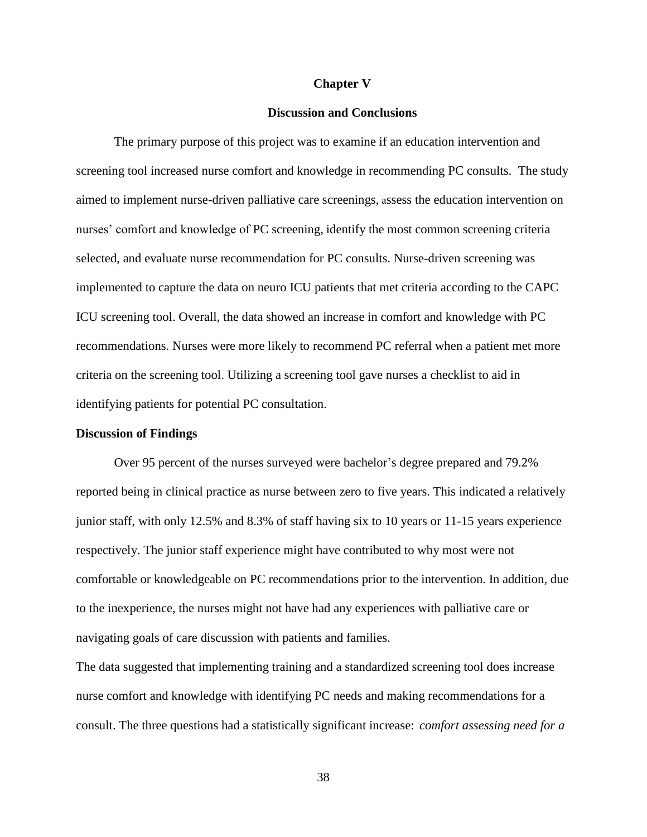### **Chapter V**

## **Discussion and Conclusions**

The primary purpose of this project was to examine if an education intervention and screening tool increased nurse comfort and knowledge in recommending PC consults. The study aimed to implement nurse-driven palliative care screenings, assess the education intervention on nurses' comfort and knowledge of PC screening, identify the most common screening criteria selected, and evaluate nurse recommendation for PC consults. Nurse-driven screening was implemented to capture the data on neuro ICU patients that met criteria according to the CAPC ICU screening tool. Overall, the data showed an increase in comfort and knowledge with PC recommendations. Nurses were more likely to recommend PC referral when a patient met more criteria on the screening tool. Utilizing a screening tool gave nurses a checklist to aid in identifying patients for potential PC consultation.

#### **Discussion of Findings**

Over 95 percent of the nurses surveyed were bachelor's degree prepared and 79.2% reported being in clinical practice as nurse between zero to five years. This indicated a relatively junior staff, with only 12.5% and 8.3% of staff having six to 10 years or 11-15 years experience respectively. The junior staff experience might have contributed to why most were not comfortable or knowledgeable on PC recommendations prior to the intervention. In addition, due to the inexperience, the nurses might not have had any experiences with palliative care or navigating goals of care discussion with patients and families.

The data suggested that implementing training and a standardized screening tool does increase nurse comfort and knowledge with identifying PC needs and making recommendations for a consult. The three questions had a statistically significant increase: *comfort assessing need for a*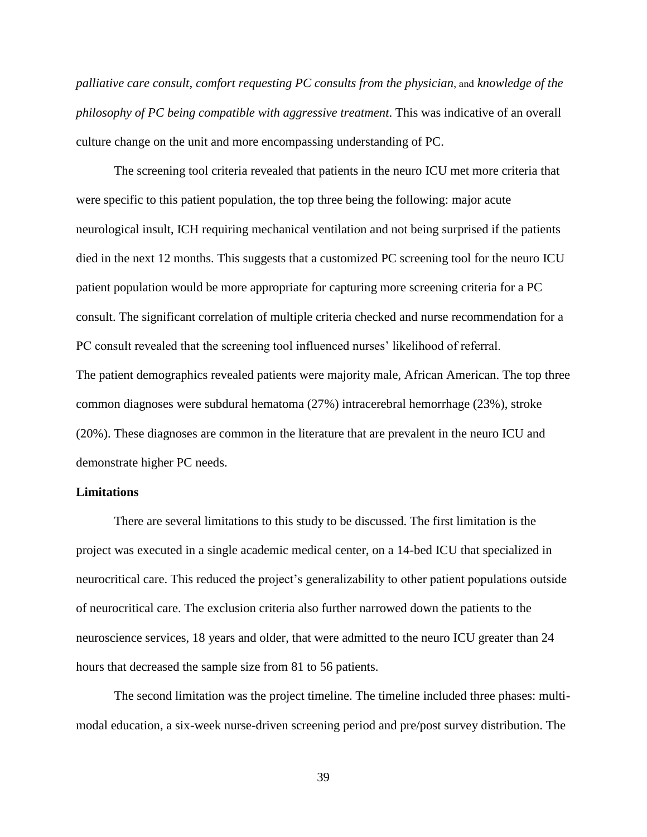*palliative care consult, comfort requesting PC consults from the physician*, and *knowledge of the philosophy of PC being compatible with aggressive treatment*. This was indicative of an overall culture change on the unit and more encompassing understanding of PC.

The screening tool criteria revealed that patients in the neuro ICU met more criteria that were specific to this patient population, the top three being the following: major acute neurological insult, ICH requiring mechanical ventilation and not being surprised if the patients died in the next 12 months. This suggests that a customized PC screening tool for the neuro ICU patient population would be more appropriate for capturing more screening criteria for a PC consult. The significant correlation of multiple criteria checked and nurse recommendation for a PC consult revealed that the screening tool influenced nurses' likelihood of referral. The patient demographics revealed patients were majority male, African American. The top three common diagnoses were subdural hematoma (27%) intracerebral hemorrhage (23%), stroke (20%). These diagnoses are common in the literature that are prevalent in the neuro ICU and demonstrate higher PC needs.

## **Limitations**

There are several limitations to this study to be discussed. The first limitation is the project was executed in a single academic medical center, on a 14-bed ICU that specialized in neurocritical care. This reduced the project's generalizability to other patient populations outside of neurocritical care. The exclusion criteria also further narrowed down the patients to the neuroscience services, 18 years and older, that were admitted to the neuro ICU greater than 24 hours that decreased the sample size from 81 to 56 patients.

The second limitation was the project timeline. The timeline included three phases: multimodal education, a six-week nurse-driven screening period and pre/post survey distribution. The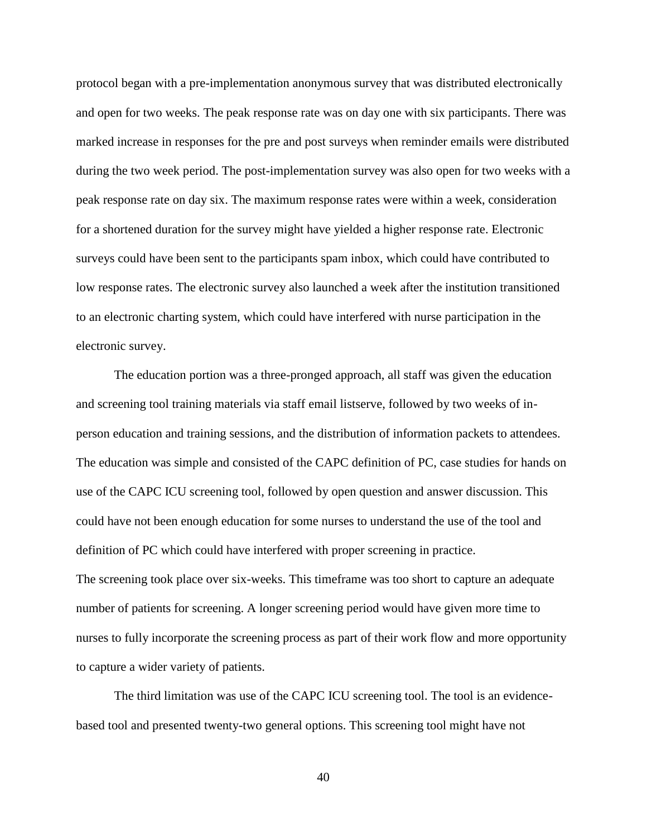protocol began with a pre-implementation anonymous survey that was distributed electronically and open for two weeks. The peak response rate was on day one with six participants. There was marked increase in responses for the pre and post surveys when reminder emails were distributed during the two week period. The post-implementation survey was also open for two weeks with a peak response rate on day six. The maximum response rates were within a week, consideration for a shortened duration for the survey might have yielded a higher response rate. Electronic surveys could have been sent to the participants spam inbox, which could have contributed to low response rates. The electronic survey also launched a week after the institution transitioned to an electronic charting system, which could have interfered with nurse participation in the electronic survey.

The education portion was a three-pronged approach, all staff was given the education and screening tool training materials via staff email listserve, followed by two weeks of inperson education and training sessions, and the distribution of information packets to attendees. The education was simple and consisted of the CAPC definition of PC, case studies for hands on use of the CAPC ICU screening tool, followed by open question and answer discussion. This could have not been enough education for some nurses to understand the use of the tool and definition of PC which could have interfered with proper screening in practice. The screening took place over six-weeks. This timeframe was too short to capture an adequate number of patients for screening. A longer screening period would have given more time to nurses to fully incorporate the screening process as part of their work flow and more opportunity to capture a wider variety of patients.

The third limitation was use of the CAPC ICU screening tool. The tool is an evidencebased tool and presented twenty-two general options. This screening tool might have not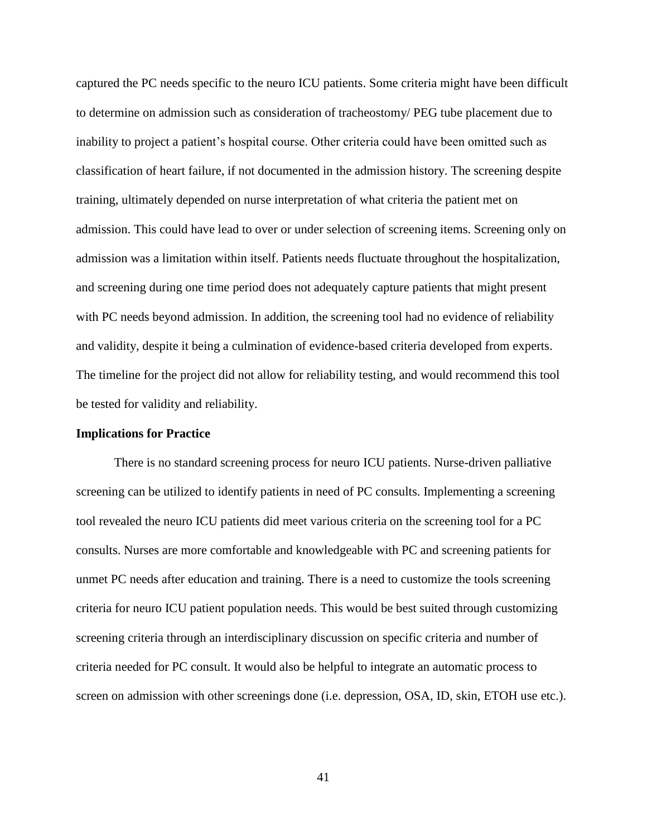captured the PC needs specific to the neuro ICU patients. Some criteria might have been difficult to determine on admission such as consideration of tracheostomy/ PEG tube placement due to inability to project a patient's hospital course. Other criteria could have been omitted such as classification of heart failure, if not documented in the admission history. The screening despite training, ultimately depended on nurse interpretation of what criteria the patient met on admission. This could have lead to over or under selection of screening items. Screening only on admission was a limitation within itself. Patients needs fluctuate throughout the hospitalization, and screening during one time period does not adequately capture patients that might present with PC needs beyond admission. In addition, the screening tool had no evidence of reliability and validity, despite it being a culmination of evidence-based criteria developed from experts. The timeline for the project did not allow for reliability testing, and would recommend this tool be tested for validity and reliability.

# **Implications for Practice**

There is no standard screening process for neuro ICU patients. Nurse-driven palliative screening can be utilized to identify patients in need of PC consults. Implementing a screening tool revealed the neuro ICU patients did meet various criteria on the screening tool for a PC consults. Nurses are more comfortable and knowledgeable with PC and screening patients for unmet PC needs after education and training. There is a need to customize the tools screening criteria for neuro ICU patient population needs. This would be best suited through customizing screening criteria through an interdisciplinary discussion on specific criteria and number of criteria needed for PC consult. It would also be helpful to integrate an automatic process to screen on admission with other screenings done (i.e. depression, OSA, ID, skin, ETOH use etc.).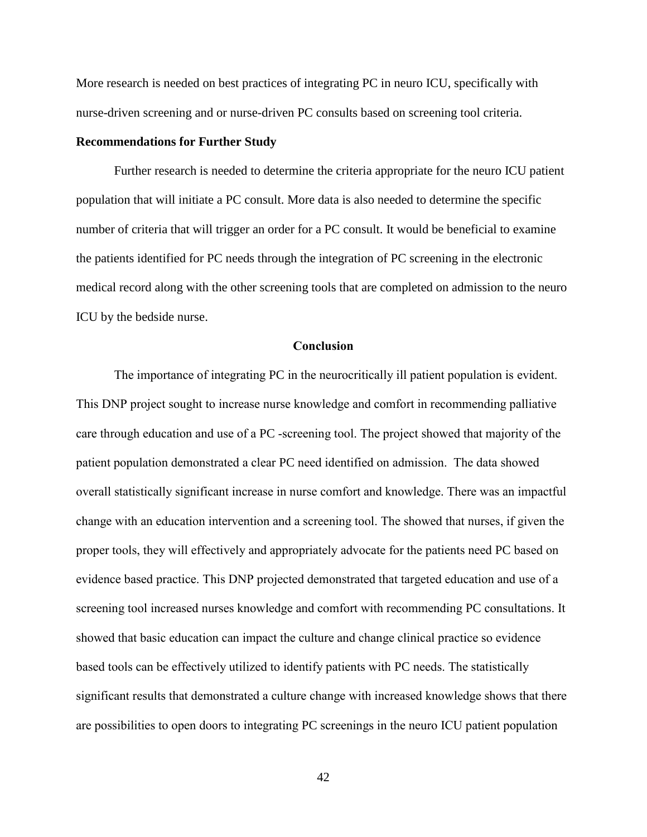More research is needed on best practices of integrating PC in neuro ICU, specifically with nurse-driven screening and or nurse-driven PC consults based on screening tool criteria.

# **Recommendations for Further Study**

Further research is needed to determine the criteria appropriate for the neuro ICU patient population that will initiate a PC consult. More data is also needed to determine the specific number of criteria that will trigger an order for a PC consult. It would be beneficial to examine the patients identified for PC needs through the integration of PC screening in the electronic medical record along with the other screening tools that are completed on admission to the neuro ICU by the bedside nurse.

# **Conclusion**

The importance of integrating PC in the neurocritically ill patient population is evident. This DNP project sought to increase nurse knowledge and comfort in recommending palliative care through education and use of a PC -screening tool. The project showed that majority of the patient population demonstrated a clear PC need identified on admission. The data showed overall statistically significant increase in nurse comfort and knowledge. There was an impactful change with an education intervention and a screening tool. The showed that nurses, if given the proper tools, they will effectively and appropriately advocate for the patients need PC based on evidence based practice. This DNP projected demonstrated that targeted education and use of a screening tool increased nurses knowledge and comfort with recommending PC consultations. It showed that basic education can impact the culture and change clinical practice so evidence based tools can be effectively utilized to identify patients with PC needs. The statistically significant results that demonstrated a culture change with increased knowledge shows that there are possibilities to open doors to integrating PC screenings in the neuro ICU patient population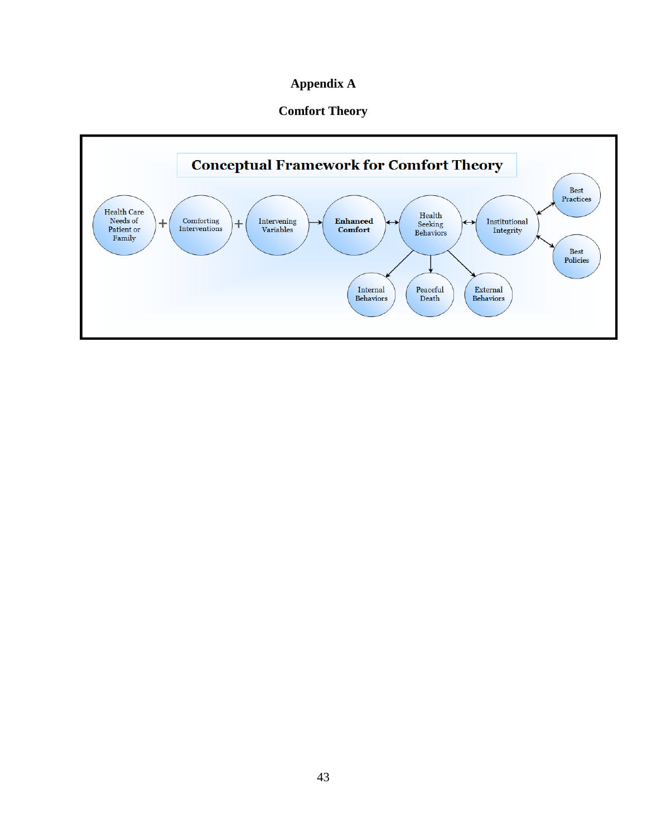# **Appendix A**

# **Comfort Theory**

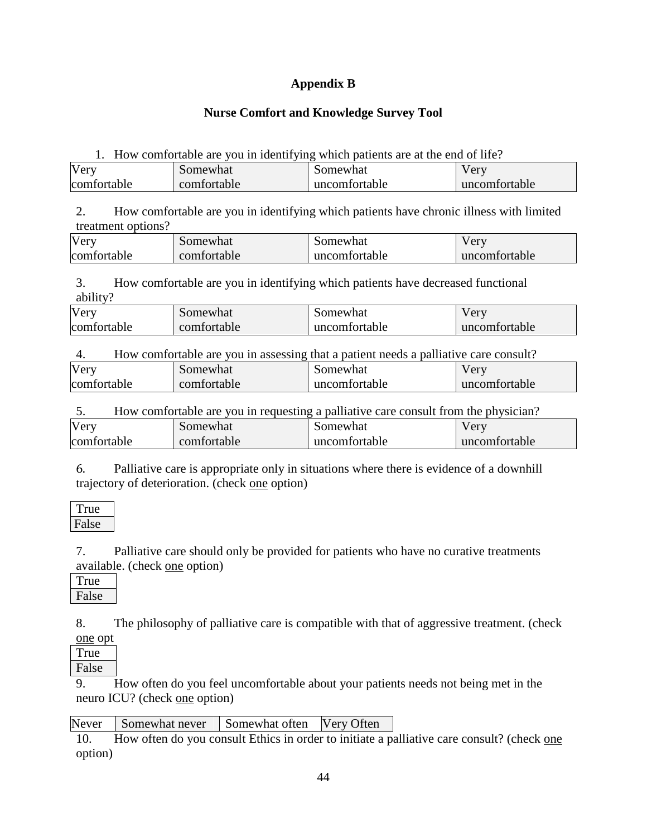# **Appendix B**

# **Nurse Comfort and Knowledge Survey Tool**

1. How comfortable are you in identifying which patients are at the end of life?

| Very        | Somewhat    | Somewhat      | $\sqrt{er}$   |
|-------------|-------------|---------------|---------------|
| comfortable | comfortable | uncomfortable | uncomfortable |

2. How comfortable are you in identifying which patients have chronic illness with limited treatment options?

| Very        | Somewhat    | Somewhat      | very          |
|-------------|-------------|---------------|---------------|
| comfortable | comfortable | uncomfortable | uncomfortable |

3. How comfortable are you in identifying which patients have decreased functional ability?

| Very        | Somewhat    | Somewhat      | Verv          |
|-------------|-------------|---------------|---------------|
| comfortable | comfortable | uncomfortable | uncomfortable |

| How comfortable are you in assessing that a patient needs a palliative care consult?<br>4. |             |               |               |
|--------------------------------------------------------------------------------------------|-------------|---------------|---------------|
| Very                                                                                       | Somewhat    | Somewhat      | Very          |
| comfortable                                                                                | comfortable | uncomfortable | uncomfortable |

5. How comfortable are you in requesting a palliative care consult from the physician? Very comfortable Somewhat comfortable Somewhat uncomfortable Very uncomfortable

6. Palliative care is appropriate only in situations where there is evidence of a downhill trajectory of deterioration. (check one option)

| l rue |  |
|-------|--|
| False |  |

7. Palliative care should only be provided for patients who have no curative treatments available. (check one option)

| I rue |  |
|-------|--|
| False |  |

8. The philosophy of palliative care is compatible with that of aggressive treatment. (check one opt

True False

9. How often do you feel uncomfortable about your patients needs not being met in the neuro ICU? (check one option)

Never Somewhat never Somewhat often Very Often

10. How often do you consult Ethics in order to initiate a palliative care consult? (check one option)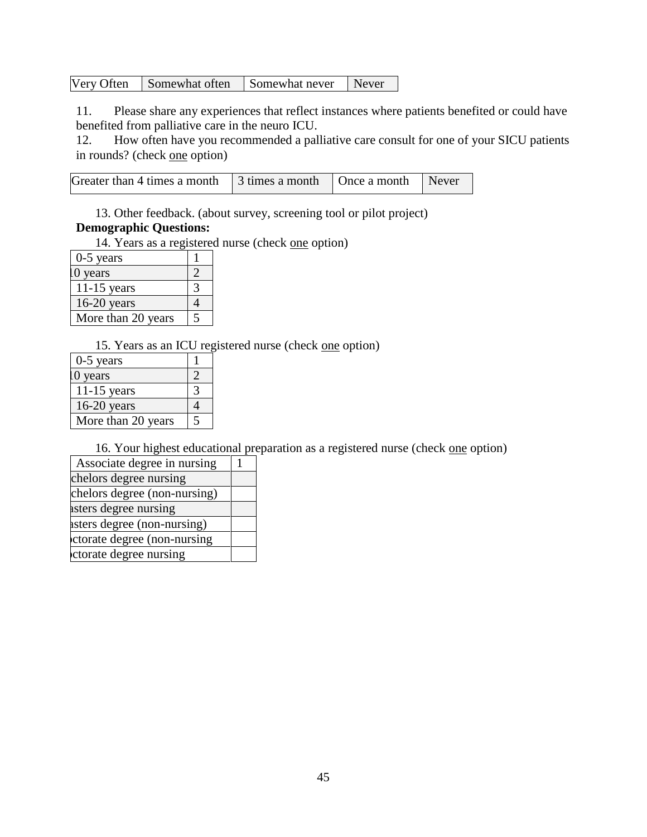| Very Often<br>Somewhat often | Somewhat never | Never |
|------------------------------|----------------|-------|
|------------------------------|----------------|-------|

11. Please share any experiences that reflect instances where patients benefited or could have benefited from palliative care in the neuro ICU.

12. How often have you recommended a palliative care consult for one of your SICU patients in rounds? (check one option)

| Greater than 4 times a month $\vert$ 3 times a month $\vert$ Once a month $\vert$ Never |  |  |
|-----------------------------------------------------------------------------------------|--|--|

13. Other feedback. (about survey, screening tool or pilot project)

# **Demographic Questions:**

14. Years as a registered nurse (check one option)

| $0-5$ years        |  |
|--------------------|--|
| 0 years            |  |
| $11-15$ years      |  |
| $16-20$ years      |  |
| More than 20 years |  |

15. Years as an ICU registered nurse (check one option)

| $0-5$ years        |   |
|--------------------|---|
| 0 years            |   |
| $11-15$ years      |   |
| $16-20$ years      |   |
| More than 20 years | 5 |

16. Your highest educational preparation as a registered nurse (check one option)

| Associate degree in nursing  |  |
|------------------------------|--|
| chelors degree nursing       |  |
| chelors degree (non-nursing) |  |
| asters degree nursing        |  |
| asters degree (non-nursing)  |  |
| ctorate degree (non-nursing  |  |
| ctorate degree nursing       |  |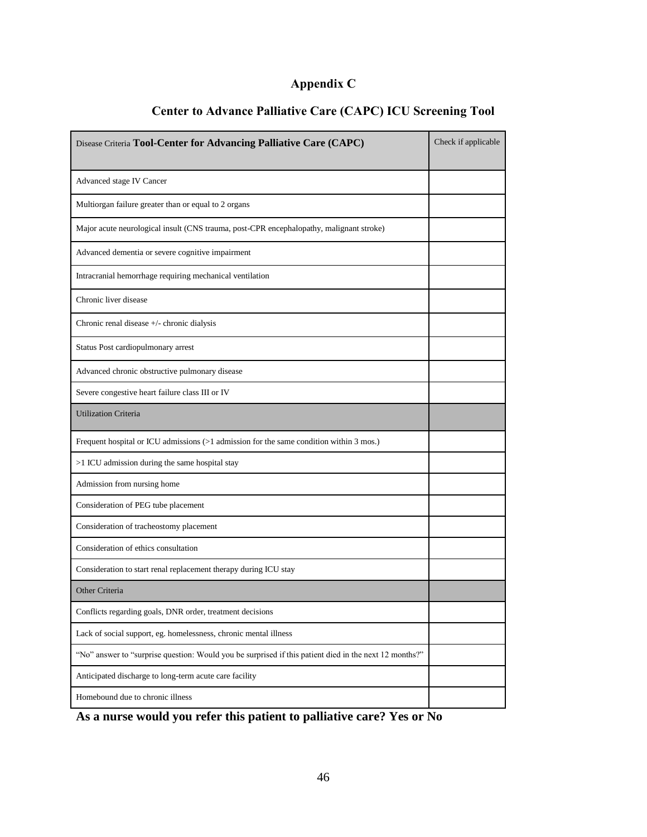# **Appendix C**

| Disease Criteria Tool-Center for Advancing Palliative Care (CAPC)                                      | Check if applicable |
|--------------------------------------------------------------------------------------------------------|---------------------|
| Advanced stage IV Cancer                                                                               |                     |
| Multiorgan failure greater than or equal to 2 organs                                                   |                     |
| Major acute neurological insult (CNS trauma, post-CPR encephalopathy, malignant stroke)                |                     |
| Advanced dementia or severe cognitive impairment                                                       |                     |
| Intracranial hemorrhage requiring mechanical ventilation                                               |                     |
| Chronic liver disease                                                                                  |                     |
| Chronic renal disease +/- chronic dialysis                                                             |                     |
| Status Post cardiopulmonary arrest                                                                     |                     |
| Advanced chronic obstructive pulmonary disease                                                         |                     |
| Severe congestive heart failure class III or IV                                                        |                     |
| <b>Utilization Criteria</b>                                                                            |                     |
| Frequent hospital or ICU admissions (>1 admission for the same condition within 3 mos.)                |                     |
| >1 ICU admission during the same hospital stay                                                         |                     |
| Admission from nursing home                                                                            |                     |
| Consideration of PEG tube placement                                                                    |                     |
| Consideration of tracheostomy placement                                                                |                     |
| Consideration of ethics consultation                                                                   |                     |
| Consideration to start renal replacement therapy during ICU stay                                       |                     |
| Other Criteria                                                                                         |                     |
| Conflicts regarding goals, DNR order, treatment decisions                                              |                     |
| Lack of social support, eg. homelessness, chronic mental illness                                       |                     |
| "No" answer to "surprise question: Would you be surprised if this patient died in the next 12 months?" |                     |
| Anticipated discharge to long-term acute care facility                                                 |                     |
| Homebound due to chronic illness                                                                       |                     |

# **Center to Advance Palliative Care (CAPC) ICU Screening Tool**

**As a nurse would you refer this patient to palliative care? Yes or No**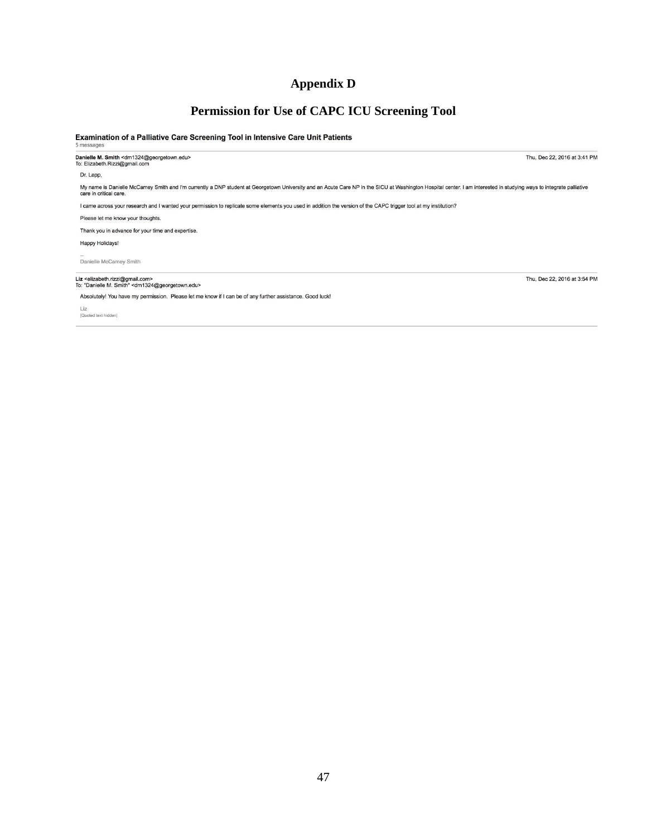# **Appendix D**

# **Permission for Use of CAPC ICU Screening Tool**

#### Examination of a Palliative Care Screening Tool in Intensive Care Unit Patients

-<br>Danielle M. Smith <dm1324@georgetown.edu><br>To: Elizabeth.Rizzi@gmail.com

Dr. Lapp,

My name is Danielle McCamey Smith and I'm currently a DNP student at Georgetown University and an Acute Care NP in the SICU at Washington Hospital center. I am interested in studying ways to integrate palliative<br>care in cr

I came across your research and I wanted your permission to replicate some elements you used in addition the version of the CAPC trigger tool at my institution?

Please let me know your thoughts.

Thank you in advance for your time and expertise.

Happy Holidays!

Danielle McCamey Smith

# Liz <elizabeth.rizzi@gmail.com><br>To: "Danielle M. Smith" <dm1324@georgetown.edu>

Absolutely! You have my permission. Please let me know if I can be of any further assistance. Good luck!

Liz<br>[Quoted text hidden]

Thu, Dec 22, 2016 at 3:41 PM

Thu, Dec 22, 2016 at 3:54 PM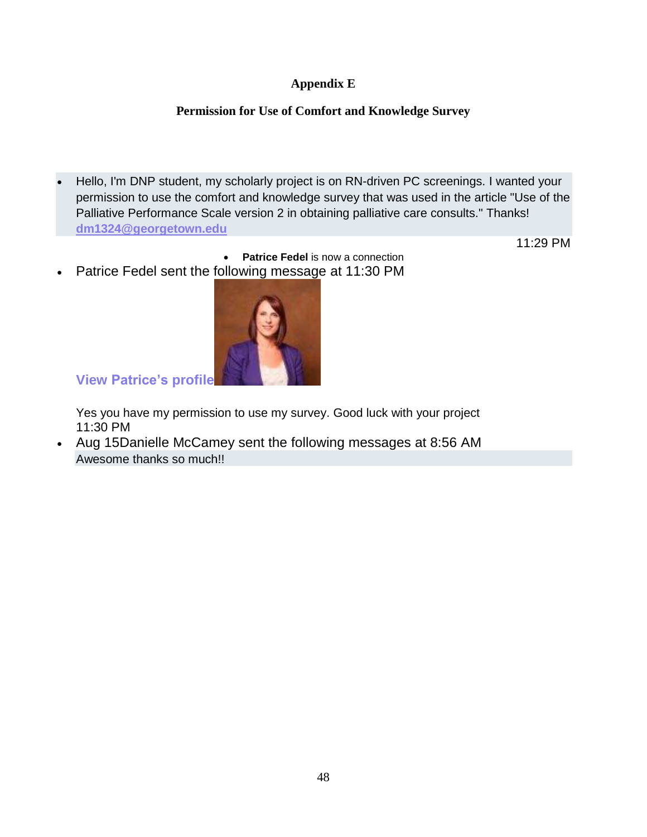# **Appendix E**

# **Permission for Use of Comfort and Knowledge Survey**

 Hello, I'm DNP student, my scholarly project is on RN-driven PC screenings. I wanted your permission to use the comfort and knowledge survey that was used in the article "Use of the Palliative Performance Scale version 2 in obtaining palliative care consults." Thanks! **[dm1324@georgetown.edu](mailto:dm1324@georgetown.edu)**

11:29 PM

 **Patrice Fedel** is now a connection Patrice Fedel sent the following message at 11:30 PM



**View [Patrice's](https://www.linkedin.com/in/patrice-fedel-a0b18584/) profile**

Yes you have my permission to use my survey. Good luck with your project 11:30 PM

 Aug 15Danielle McCamey sent the following messages at 8:56 AM Awesome thanks so much!!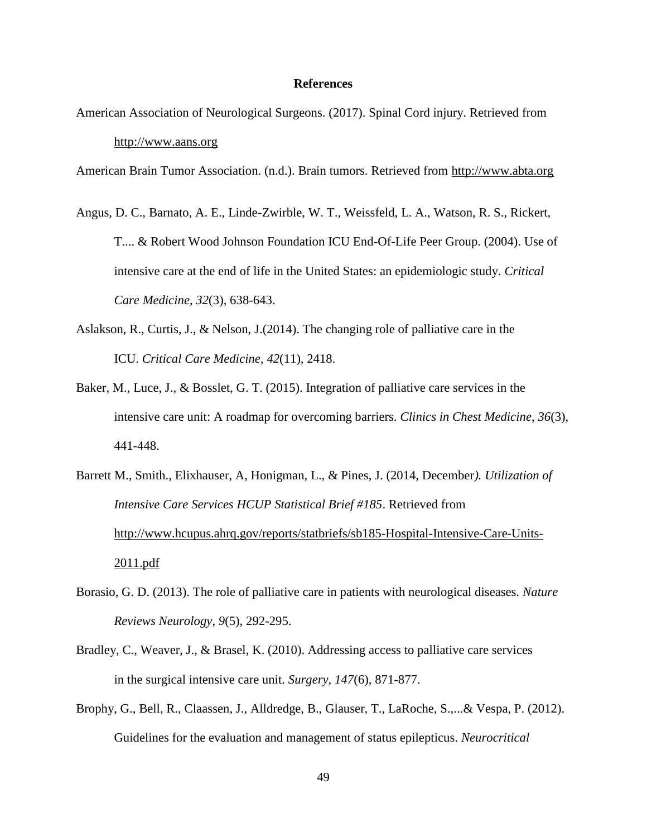## **References**

American Association of Neurological Surgeons. (2017). Spinal Cord injury. Retrieved from [http://www.aans.org](http://www.aans.org/Patient%20Information/Conditions%20and%20Treatments/Spinal%20Cord%20Injury.aspx)

American Brain Tumor Association. (n.d.). Brain tumors. Retrieved from [http://www.abta.org](http://www.abta.org/)

- Angus, D. C., Barnato, A. E., Linde-Zwirble, W. T., Weissfeld, L. A., Watson, R. S., Rickert, T.... & Robert Wood Johnson Foundation ICU End-Of-Life Peer Group. (2004). Use of intensive care at the end of life in the United States: an epidemiologic study. *Critical Care Medicine*, *32*(3), 638-643.
- Aslakson, R., Curtis, J., & Nelson, J.(2014). The changing role of palliative care in the ICU. *Critical Care Medicine*, *42*(11), 2418.
- Baker, M., Luce, J., & Bosslet, G. T. (2015). Integration of palliative care services in the intensive care unit: A roadmap for overcoming barriers. *Clinics in Chest Medicine*, *36*(3), 441-448.
- Barrett M., Smith., Elixhauser, A, Honigman, L., & Pines, J. (2014, December*). Utilization of Intensive Care Services HCUP Statistical Brief #185*. Retrieved from [http://www.hcupus.ahrq.gov/reports/statbriefs/sb185-Hospital-Intensive-Care-Units-](http://www.hcupus.ahrq.gov/reports/statbriefs/sb185-Hospital-Intensive-Care-Units-2011.pdf)[2011.pdf](http://www.hcupus.ahrq.gov/reports/statbriefs/sb185-Hospital-Intensive-Care-Units-2011.pdf)
- Borasio, G. D. (2013). The role of palliative care in patients with neurological diseases. *Nature Reviews Neurology*, *9*(5), 292-295.
- Bradley, C., Weaver, J., & Brasel, K. (2010). Addressing access to palliative care services in the surgical intensive care unit. *Surgery, 147*(6), 871-877.
- Brophy, G., Bell, R., Claassen, J., Alldredge, B., Glauser, T., LaRoche, S.,...& Vespa, P. (2012). Guidelines for the evaluation and management of status epilepticus. *Neurocritical*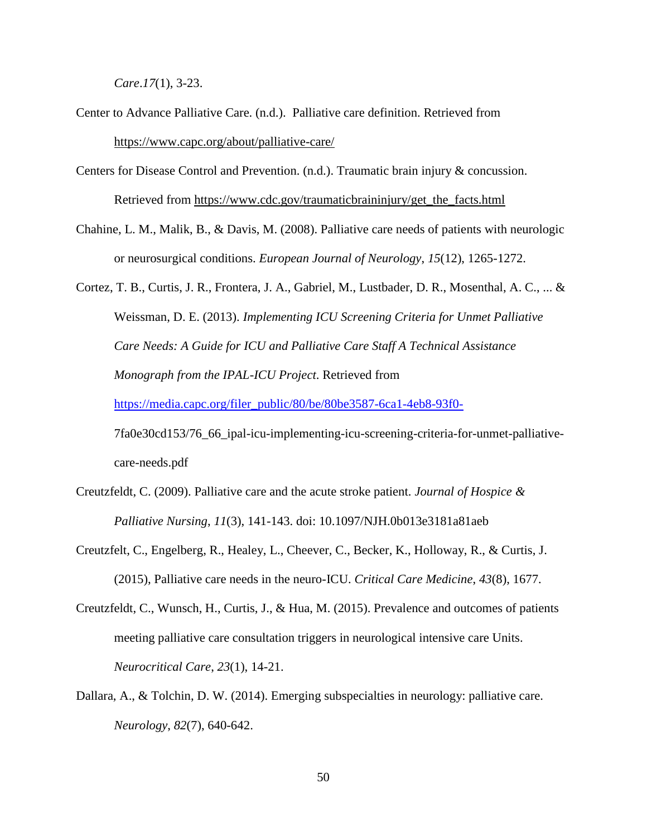*Care*.*17*(1), 3-23.

- Center to Advance Palliative Care. (n.d.). Palliative care definition. Retrieved from <https://www.capc.org/about/palliative-care/>
- Centers for Disease Control and Prevention. (n.d.). Traumatic brain injury & concussion. Retrieved from [https://www.cdc.gov/traumaticbraininjury/get\\_the\\_facts.html](https://www.cdc.gov/traumaticbraininjury/get_the_facts.html)
- Chahine, L. M., Malik, B., & Davis, M. (2008). Palliative care needs of patients with neurologic or neurosurgical conditions. *European Journal of Neurology*, *15*(12), 1265-1272.

Cortez, T. B., Curtis, J. R., Frontera, J. A., Gabriel, M., Lustbader, D. R., Mosenthal, A. C., ... & Weissman, D. E. (2013). *Implementing ICU Screening Criteria for Unmet Palliative Care Needs: A Guide for ICU and Palliative Care Staff A Technical Assistance Monograph from the IPAL-ICU Project*. Retrieved from [https://media.capc.org/filer\\_public/80/be/80be3587-6ca1-4eb8-93f0-](https://media.capc.org/filer_public/80/be/80be3587-6ca1-4eb8-93f0-) 7fa0e30cd153/76\_66\_ipal-icu-implementing-icu-screening-criteria-for-unmet-palliative-

care-needs.pdf

- Creutzfeldt, C. (2009). Palliative care and the acute stroke patient. *Journal of Hospice & Palliative Nursing*, *11*(3), 141-143. doi: 10.1097/NJH.0b013e3181a81aeb
- Creutzfelt, C., Engelberg, R., Healey, L., Cheever, C., Becker, K., Holloway, R., & Curtis, J. (2015), Palliative care needs in the neuro-ICU. *Critical Care Medicine*, *43*(8), 1677.
- Creutzfeldt, C., Wunsch, H., Curtis, J., & Hua, M. (2015). Prevalence and outcomes of patients meeting palliative care consultation triggers in neurological intensive care Units. *Neurocritical Care*, *23*(1), 14-21.
- Dallara, A., & Tolchin, D. W. (2014). Emerging subspecialties in neurology: palliative care. *Neurology*, *82*(7), 640-642.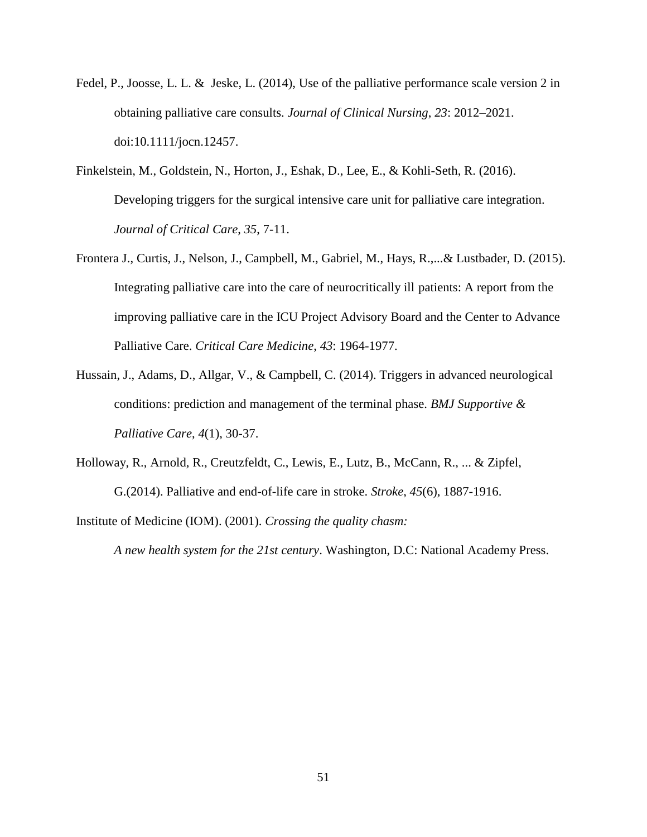- Fedel, P., Joosse, L. L. & Jeske, L. (2014), Use of the palliative performance scale version 2 in obtaining palliative care consults. *Journal of Clinical Nursing*, *23*: 2012–2021. doi:10.1111/jocn.12457.
- Finkelstein, M., Goldstein, N., Horton, J., Eshak, D., Lee, E., & Kohli-Seth, R. (2016). Developing triggers for the surgical intensive care unit for palliative care integration. *Journal of Critical Care*, *35*, 7-11.
- Frontera J., Curtis, J., Nelson, J., Campbell, M., Gabriel, M., Hays, R.,...& Lustbader, D. (2015). Integrating palliative care into the care of neurocritically ill patients: A report from the improving palliative care in the ICU Project Advisory Board and the Center to Advance Palliative Care. *Critical Care Medicine*, *43*: 1964-1977.
- Hussain, J., Adams, D., Allgar, V., & Campbell, C. (2014). Triggers in advanced neurological conditions: prediction and management of the terminal phase. *BMJ Supportive & Palliative Care*, *4*(1), 30-37.
- Holloway, R., Arnold, R., Creutzfeldt, C., Lewis, E., Lutz, B., McCann, R., ... & Zipfel, G.(2014). Palliative and end-of-life care in stroke. *Stroke*, *45*(6), 1887-1916.

Institute of Medicine (IOM). (2001). *Crossing the quality chasm:* 

*A new health system for the 21st century*. Washington, D.C: National Academy Press.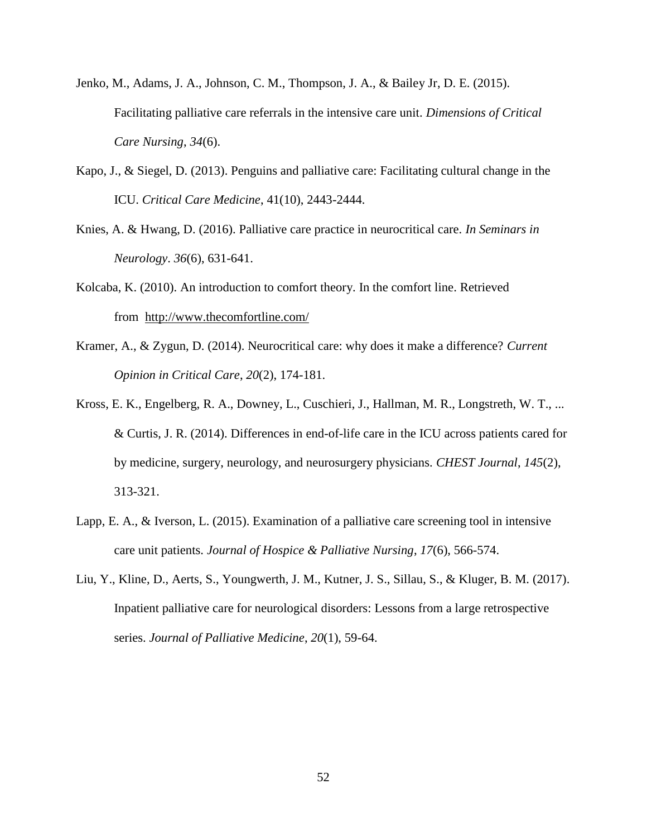- Jenko, M., Adams, J. A., Johnson, C. M., Thompson, J. A., & Bailey Jr, D. E. (2015). Facilitating palliative care referrals in the intensive care unit. *Dimensions of Critical Care Nursing*, *34*(6).
- Kapo, J., & Siegel, D. (2013). Penguins and palliative care: Facilitating cultural change in the ICU. *Critical Care Medicine*, 41(10), 2443-2444.
- Knies, A. & Hwang, D. (2016). Palliative care practice in neurocritical care. *In Seminars in Neurology*. *36*(6), 631-641.
- Kolcaba, K. (2010). An introduction to comfort theory. In the comfort line. Retrieved from <http://www.thecomfortline.com/>
- Kramer, A., & Zygun, D. (2014). Neurocritical care: why does it make a difference? *Current Opinion in Critical Care*, *20*(2), 174-181.
- Kross, E. K., Engelberg, R. A., Downey, L., Cuschieri, J., Hallman, M. R., Longstreth, W. T., ... & Curtis, J. R. (2014). Differences in end-of-life care in the ICU across patients cared for by medicine, surgery, neurology, and neurosurgery physicians. *CHEST Journal*, *145*(2), 313-321.
- Lapp, E. A., & Iverson, L. (2015). Examination of a palliative care screening tool in intensive care unit patients. *Journal of Hospice & Palliative Nursing*, *17*(6), 566-574.
- Liu, Y., Kline, D., Aerts, S., Youngwerth, J. M., Kutner, J. S., Sillau, S., & Kluger, B. M. (2017). Inpatient palliative care for neurological disorders: Lessons from a large retrospective series. *Journal of Palliative Medicine*, *20*(1), 59-64.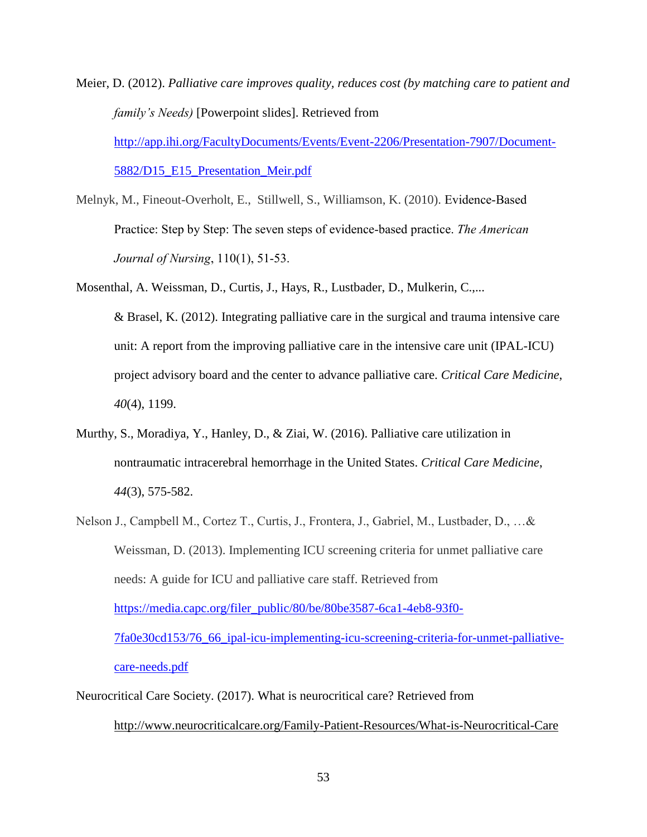- Meier, D. (2012). *Palliative care improves quality, reduces cost (by matching care to patient and family's Needs)* [Powerpoint slides]. Retrieved from [http://app.ihi.org/FacultyDocuments/Events/Event-2206/Presentation-7907/Document-](http://app.ihi.org/FacultyDocuments/Events/Event-2206/Presentation-7907/Document-5882/D15_E15_Presentation_Meir.pdf)[5882/D15\\_E15\\_Presentation\\_Meir.pdf](http://app.ihi.org/FacultyDocuments/Events/Event-2206/Presentation-7907/Document-5882/D15_E15_Presentation_Meir.pdf)
- Melnyk, M., Fineout-Overholt, E., Stillwell, S., Williamson, K. (2010). Evidence-Based Practice: Step by Step: The seven steps of evidence-based practice. *The American Journal of Nursing*, 110(1), 51-53.
- Mosenthal, A. Weissman, D., Curtis, J., Hays, R., Lustbader, D., Mulkerin, C.,... & Brasel, K. (2012). Integrating palliative care in the surgical and trauma intensive care unit: A report from the improving palliative care in the intensive care unit (IPAL-ICU) project advisory board and the center to advance palliative care. *Critical Care Medicine*, *40*(4), 1199.
- Murthy, S., Moradiya, Y., Hanley, D., & Ziai, W. (2016). Palliative care utilization in nontraumatic intracerebral hemorrhage in the United States. *Critical Care Medicine*, *44*(3), 575-582.
- Nelson J., Campbell M., Cortez T., Curtis, J., Frontera, J., Gabriel, M., Lustbader, D., …& Weissman, D. (2013). Implementing ICU screening criteria for unmet palliative care needs: A guide for ICU and palliative care staff. Retrieved from [https://media.capc.org/filer\\_public/80/be/80be3587-6ca1-4eb8-93f0-](https://media.capc.org/filer_public/80/be/80be3587-6ca1-4eb8-93f0-7fa0e30cd153/76_66_ipal-icu-implementing-icu-screening-criteria-for-unmet-palliative-care-needs.pdf) [7fa0e30cd153/76\\_66\\_ipal-icu-implementing-icu-screening-criteria-for-unmet-palliative](https://media.capc.org/filer_public/80/be/80be3587-6ca1-4eb8-93f0-7fa0e30cd153/76_66_ipal-icu-implementing-icu-screening-criteria-for-unmet-palliative-care-needs.pdf)[care-needs.pdf](https://media.capc.org/filer_public/80/be/80be3587-6ca1-4eb8-93f0-7fa0e30cd153/76_66_ipal-icu-implementing-icu-screening-criteria-for-unmet-palliative-care-needs.pdf)

Neurocritical Care Society. (2017). What is neurocritical care? Retrieved from

<http://www.neurocriticalcare.org/Family-Patient-Resources/What-is-Neurocritical-Care>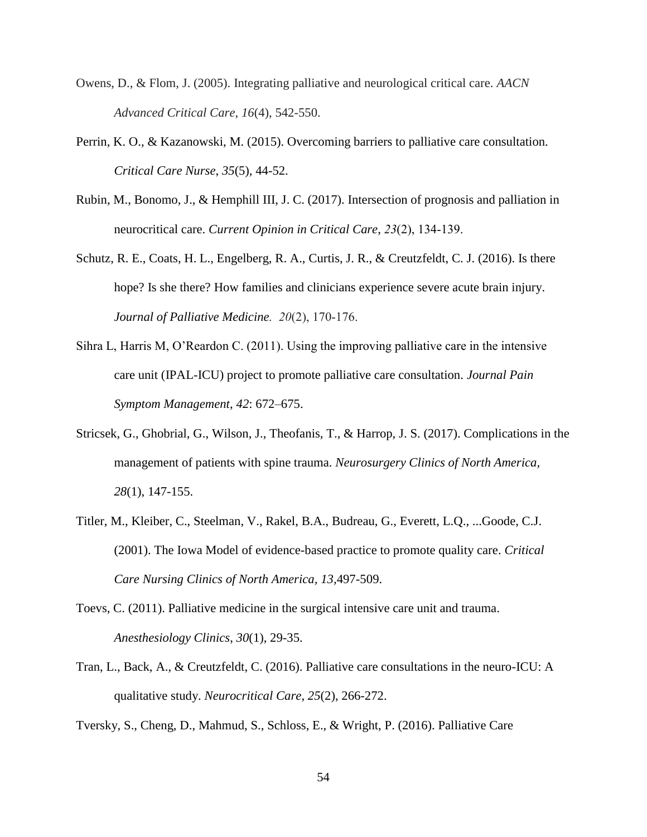- Owens, D., & Flom, J. (2005). Integrating palliative and neurological critical care. *AACN Advanced Critical Care*, *16*(4), 542-550.
- Perrin, K. O., & Kazanowski, M. (2015). Overcoming barriers to palliative care consultation. *Critical Care Nurse*, *35*(5), 44-52.
- Rubin, M., Bonomo, J., & Hemphill III, J. C. (2017). Intersection of prognosis and palliation in neurocritical care. *Current Opinion in Critical Care*, *23*(2), 134-139.
- Schutz, R. E., Coats, H. L., Engelberg, R. A., Curtis, J. R., & Creutzfeldt, C. J. (2016). Is there hope? Is she there? How families and clinicians experience severe acute brain injury. *Journal of Palliative Medicine. 20*(2), 170-176.
- Sihra L, Harris M, O'Reardon C. (2011). Using the improving palliative care in the intensive care unit (IPAL-ICU) project to promote palliative care consultation. *Journal Pain Symptom Management*, *42*: 672–675.
- Stricsek, G., Ghobrial, G., Wilson, J., Theofanis, T., & Harrop, J. S. (2017). Complications in the management of patients with spine trauma. *Neurosurgery Clinics of North America, 28*(1), 147-155.
- Titler, M., Kleiber, C., Steelman, V., Rakel, B.A., Budreau, G., Everett, L.Q., ...Goode, C.J. (2001). The Iowa Model of evidence-based practice to promote quality care. *Critical Care Nursing Clinics of North America, 13*,497-509.
- Toevs, C. (2011). Palliative medicine in the surgical intensive care unit and trauma. *Anesthesiology Clinics*, *30*(1), 29-35.
- Tran, L., Back, A., & Creutzfeldt, C. (2016). Palliative care consultations in the neuro-ICU: A qualitative study. *Neurocritical Care*, *25*(2), 266-272.
- Tversky, S., Cheng, D., Mahmud, S., Schloss, E., & Wright, P. (2016). Palliative Care